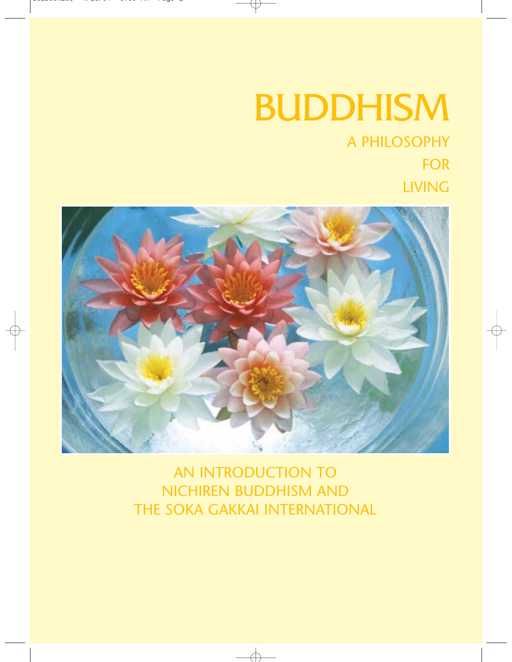# BUDDHISM

# A PHILOSOPHY FOR LIVING



AN INTRODUCTION TO NICHIREN BUDDHISM AND THE SOKA GAKKAI INTERNATIONAL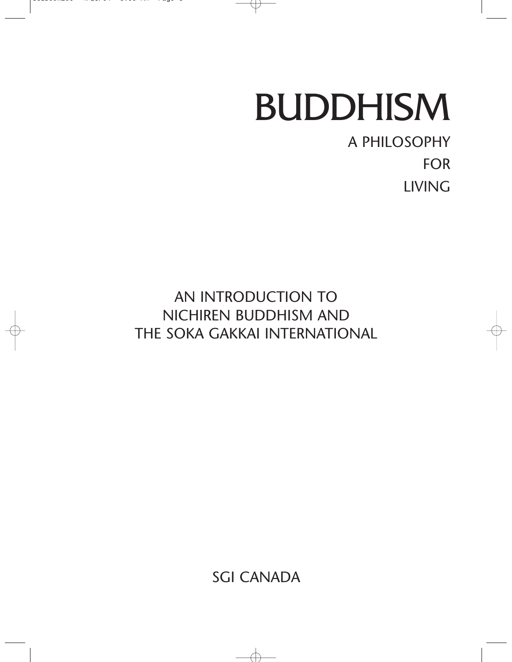# BUDDHISM

# A PHILOSOPHY FOR LIVING

AN INTRODUCTION TO NICHIREN BUDDHISM AND THE SOKA GAKKAI INTERNATIONAL

SGI CANADA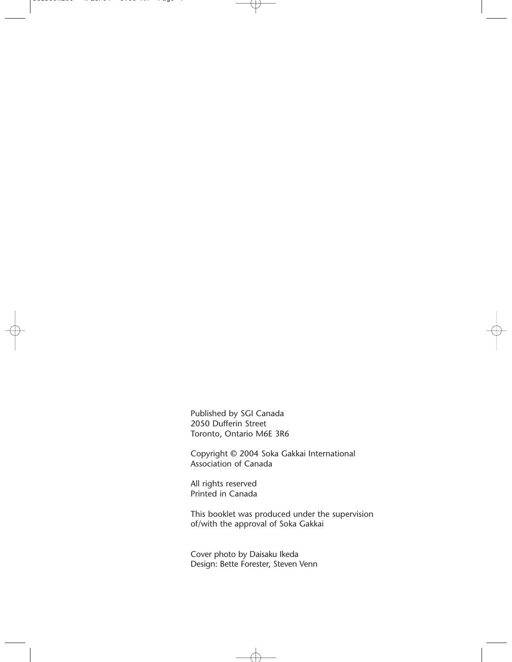Published by SGI Canada 2050 Dufferin Street Toronto, Ontario M6E 3R6

Copyright © 2004 Soka Gakkai International Association of Canada

All rights reserved Printed in Canada

This booklet was produced under the supervision of/with the approval of Soka Gakkai

Cover photo by Daisaku Ikeda Design: Bette Forester, Steven Venn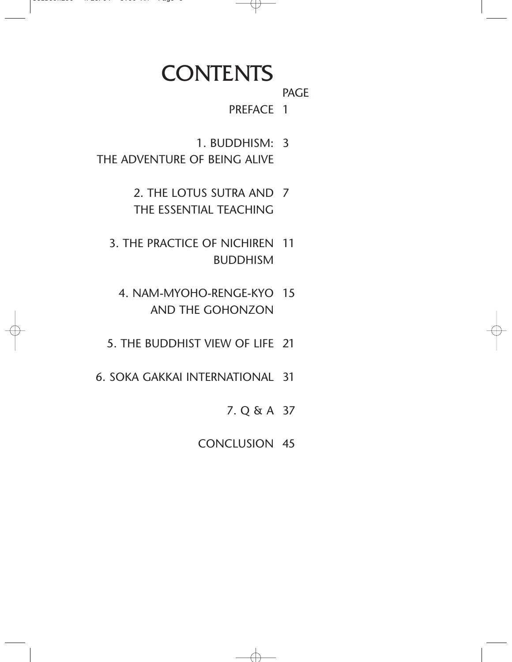# **CONTENTS**

PAGE

1 PREFACE

- 3 1. BUDDHISM:
- THE ADVENTURE OF BEING ALIVE
	- 7 2. THE LOTUS SUTRA AND THE ESSENTIAL TEACHING
	- 3. THE PRACTICE OF NICHIREN 11 BUDDHISM
		- 4. NAM-MYOHO-RENGE-KYO 15 AND THE GOHONZON
	- 5. THE BUDDHIST VIEW OF LIFE 21
- 31 6. SOKA GAKKAI INTERNATIONAL
	- 37 7. Q & A
	- 45 CONCLUSION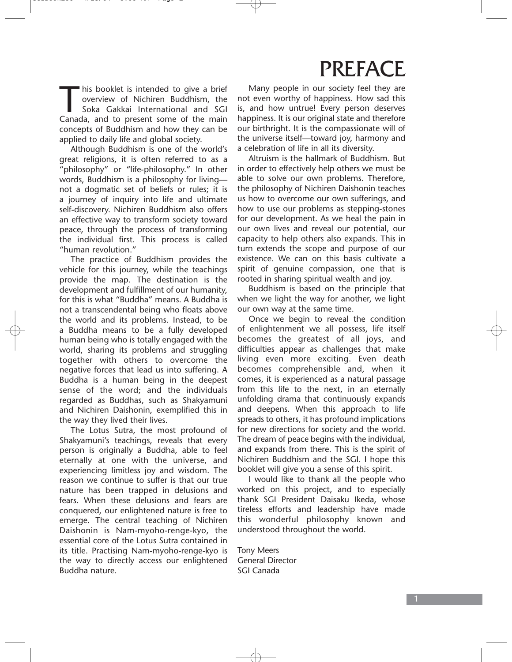# PREFACE

This booklet is intended to give a brief<br>overview of Nichiren Buddhism, the<br>Soka Gakkai International and SGI<br>Canada, and to present some of the main overview of Nichiren Buddhism, the Soka Gakkai International and SGI Canada, and to present some of the main concepts of Buddhism and how they can be applied to daily life and global society.

Although Buddhism is one of the world's great religions, it is often referred to as a "philosophy" or "life-philosophy." In other words, Buddhism is a philosophy for living not a dogmatic set of beliefs or rules; it is a journey of inquiry into life and ultimate self-discovery. Nichiren Buddhism also offers an effective way to transform society toward peace, through the process of transforming the individual first. This process is called "human revolution."

The practice of Buddhism provides the vehicle for this journey, while the teachings provide the map. The destination is the development and fulfillment of our humanity, for this is what "Buddha" means. A Buddha is not a transcendental being who floats above the world and its problems. Instead, to be a Buddha means to be a fully developed human being who is totally engaged with the world, sharing its problems and struggling together with others to overcome the negative forces that lead us into suffering. A Buddha is a human being in the deepest sense of the word; and the individuals regarded as Buddhas, such as Shakyamuni and Nichiren Daishonin, exemplified this in the way they lived their lives.

The Lotus Sutra, the most profound of Shakyamuni's teachings, reveals that every person is originally a Buddha, able to feel eternally at one with the universe, and experiencing limitless joy and wisdom. The reason we continue to suffer is that our true nature has been trapped in delusions and fears. When these delusions and fears are conquered, our enlightened nature is free to emerge. The central teaching of Nichiren Daishonin is Nam-myoho-renge-kyo, the essential core of the Lotus Sutra contained in its title. Practising Nam-myoho-renge-kyo is the way to directly access our enlightened Buddha nature.

Many people in our society feel they are not even worthy of happiness. How sad this is, and how untrue! Every person deserves happiness. It is our original state and therefore our birthright. It is the compassionate will of the universe itself—toward joy, harmony and a celebration of life in all its diversity.

Altruism is the hallmark of Buddhism. But in order to effectively help others we must be able to solve our own problems. Therefore, the philosophy of Nichiren Daishonin teaches us how to overcome our own sufferings, and how to use our problems as stepping-stones for our development. As we heal the pain in our own lives and reveal our potential, our capacity to help others also expands. This in turn extends the scope and purpose of our existence. We can on this basis cultivate a spirit of genuine compassion, one that is rooted in sharing spiritual wealth and joy.

Buddhism is based on the principle that when we light the way for another, we light our own way at the same time.

Once we begin to reveal the condition of enlightenment we all possess, life itself becomes the greatest of all joys, and difficulties appear as challenges that make living even more exciting. Even death becomes comprehensible and, when it comes, it is experienced as a natural passage from this life to the next, in an eternally unfolding drama that continuously expands and deepens. When this approach to life spreads to others, it has profound implications for new directions for society and the world. The dream of peace begins with the individual, and expands from there. This is the spirit of Nichiren Buddhism and the SGI. I hope this booklet will give you a sense of this spirit.

I would like to thank all the people who worked on this project, and to especially thank SGI President Daisaku Ikeda, whose tireless efforts and leadership have made this wonderful philosophy known and understood throughout the world.

Tony Meers General Director SGI Canada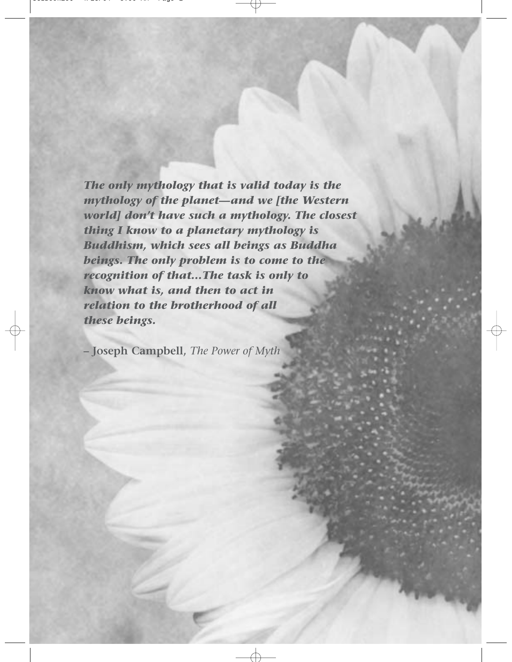*The only mythology that is valid today is the mythology of the planet—and we [the Western world] don't have such a mythology. The closest thing I know to a planetary mythology is Buddhism, which sees all beings as Buddha beings. The only problem is to come to the recognition of that…The task is only to know what is, and then to act in relation to the brotherhood of all these beings.*

**– Joseph Campbell,** *The Power of Myth*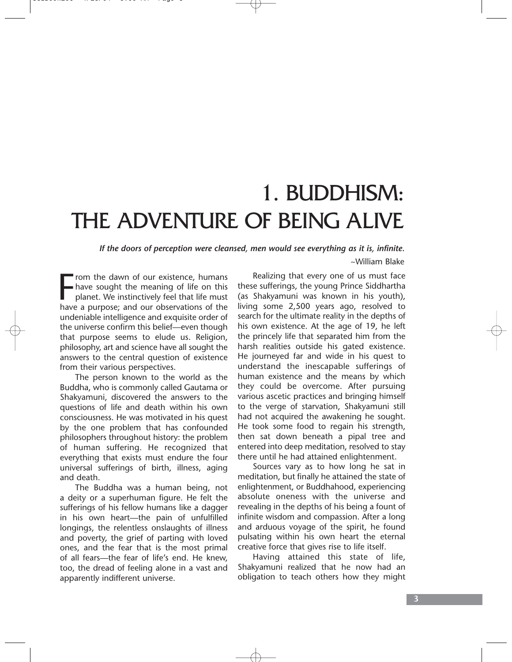# 1. BUDDHISM: THE ADVENTURE OF BEING ALIVE

*If the doors of perception were cleansed, men would see everything as it is, infinite.* ~William Blake

From the dawn of our existence, humans<br>have sought the meaning of life on this<br>planet. We instinctively feel that life must<br>have a purpose; and our observations of the rom the dawn of our existence, humans have sought the meaning of life on this planet. We instinctively feel that life must undeniable intelligence and exquisite order of the universe confirm this belief—even though that purpose seems to elude us. Religion, philosophy, art and science have all sought the answers to the central question of existence from their various perspectives.

The person known to the world as the Buddha, who is commonly called Gautama or Shakyamuni, discovered the answers to the questions of life and death within his own consciousness. He was motivated in his quest by the one problem that has confounded philosophers throughout history: the problem of human suffering. He recognized that everything that exists must endure the four universal sufferings of birth, illness, aging and death.

The Buddha was a human being, not a deity or a superhuman figure. He felt the sufferings of his fellow humans like a dagger in his own heart—the pain of unfulfilled longings, the relentless onslaughts of illness and poverty, the grief of parting with loved ones, and the fear that is the most primal of all fears—the fear of life's end. He knew, too, the dread of feeling alone in a vast and apparently indifferent universe.

Realizing that every one of us must face these sufferings, the young Prince Siddhartha (as Shakyamuni was known in his youth), living some 2,500 years ago, resolved to search for the ultimate reality in the depths of his own existence. At the age of 19, he left the princely life that separated him from the harsh realities outside his gated existence. He journeyed far and wide in his quest to understand the inescapable sufferings of human existence and the means by which they could be overcome. After pursuing various ascetic practices and bringing himself to the verge of starvation, Shakyamuni still had not acquired the awakening he sought. He took some food to regain his strength, then sat down beneath a pipal tree and entered into deep meditation, resolved to stay there until he had attained enlightenment.

Sources vary as to how long he sat in meditation, but finally he attained the state of enlightenment, or Buddhahood, experiencing absolute oneness with the universe and revealing in the depths of his being a fount of infinite wisdom and compassion. After a long and arduous voyage of the spirit, he found pulsating within his own heart the eternal creative force that gives rise to life itself.

Having attained this state of life, Shakyamuni realized that he now had an obligation to teach others how they might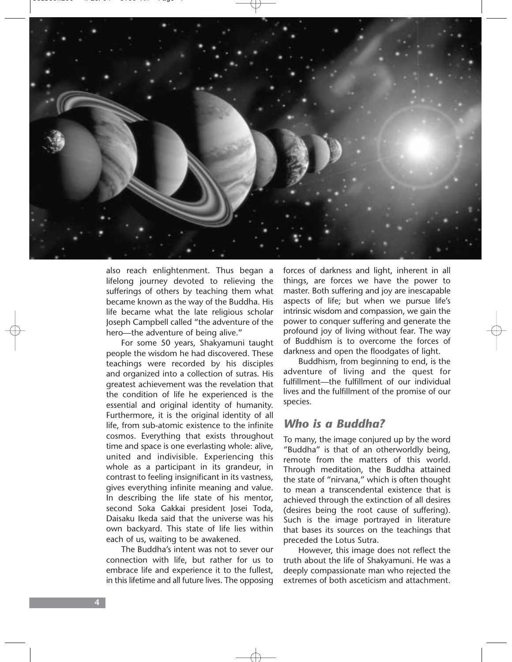

also reach enlightenment. Thus began a lifelong journey devoted to relieving the sufferings of others by teaching them what became known as the way of the Buddha. His life became what the late religious scholar Joseph Campbell called "the adventure of the hero—the adventure of being alive."

For some 50 years, Shakyamuni taught people the wisdom he had discovered. These teachings were recorded by his disciples and organized into a collection of sutras. His greatest achievement was the revelation that the condition of life he experienced is the essential and original identity of humanity. Furthermore, it is the original identity of all life, from sub-atomic existence to the infinite cosmos. Everything that exists throughout time and space is one everlasting whole: alive, united and indivisible. Experiencing this whole as a participant in its grandeur, in contrast to feeling insignificant in its vastness, gives everything infinite meaning and value. In describing the life state of his mentor, second Soka Gakkai president Josei Toda, Daisaku Ikeda said that the universe was his own backyard. This state of life lies within each of us, waiting to be awakened.

The Buddha's intent was not to sever our connection with life, but rather for us to embrace life and experience it to the fullest, in this lifetime and all future lives. The opposing forces of darkness and light, inherent in all things, are forces we have the power to master. Both suffering and joy are inescapable aspects of life; but when we pursue life's intrinsic wisdom and compassion, we gain the power to conquer suffering and generate the profound joy of living without fear. The way of Buddhism is to overcome the forces of darkness and open the floodgates of light.

Buddhism, from beginning to end, is the adventure of living and the quest for fulfillment—the fulfillment of our individual lives and the fulfillment of the promise of our species.

### *Who is a Buddha?*

To many, the image conjured up by the word "Buddha" is that of an otherworldly being, remote from the matters of this world. Through meditation, the Buddha attained the state of "nirvana," which is often thought to mean a transcendental existence that is achieved through the extinction of all desires (desires being the root cause of suffering). Such is the image portrayed in literature that bases its sources on the teachings that preceded the Lotus Sutra.

However, this image does not reflect the truth about the life of Shakyamuni. He was a deeply compassionate man who rejected the extremes of both asceticism and attachment.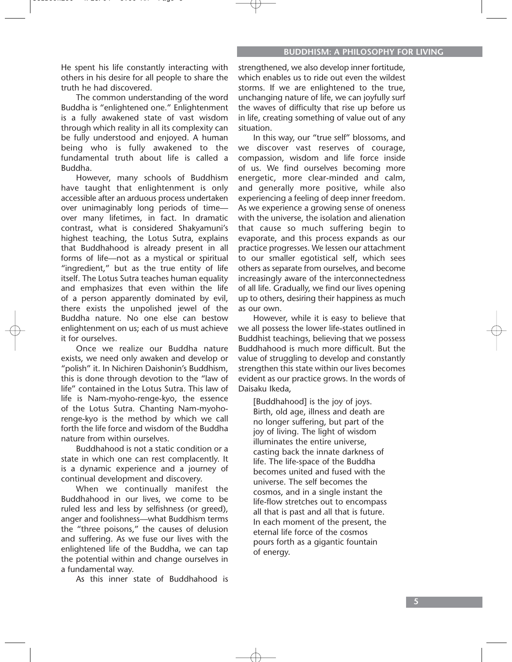He spent his life constantly interacting with others in his desire for all people to share the truth he had discovered.

The common understanding of the word Buddha is "enlightened one." Enlightenment is a fully awakened state of vast wisdom through which reality in all its complexity can be fully understood and enjoyed. A human being who is fully awakened to the fundamental truth about life is called a Buddha.

However, many schools of Buddhism have taught that enlightenment is only accessible after an arduous process undertaken over unimaginably long periods of time over many lifetimes, in fact. In dramatic contrast, what is considered Shakyamuni's highest teaching, the Lotus Sutra, explains that Buddhahood is already present in all forms of life—not as a mystical or spiritual "ingredient," but as the true entity of life itself. The Lotus Sutra teaches human equality and emphasizes that even within the life of a person apparently dominated by evil, there exists the unpolished jewel of the Buddha nature. No one else can bestow enlightenment on us; each of us must achieve it for ourselves.

Once we realize our Buddha nature exists, we need only awaken and develop or "polish" it. In Nichiren Daishonin's Buddhism, this is done through devotion to the "law of life" contained in the Lotus Sutra. This law of life is Nam-myoho-renge-kyo, the essence of the Lotus Sutra. Chanting Nam-myohorenge-kyo is the method by which we call forth the life force and wisdom of the Buddha nature from within ourselves.

Buddhahood is not a static condition or a state in which one can rest complacently. It is a dynamic experience and a journey of continual development and discovery.

When we continually manifest the Buddhahood in our lives, we come to be ruled less and less by selfishness (or greed), anger and foolishness—what Buddhism terms the "three poisons," the causes of delusion and suffering. As we fuse our lives with the enlightened life of the Buddha, we can tap the potential within and change ourselves in a fundamental way.

As this inner state of Buddhahood is

strengthened, we also develop inner fortitude, which enables us to ride out even the wildest storms. If we are enlightened to the true, unchanging nature of life, we can joyfully surf the waves of difficulty that rise up before us in life, creating something of value out of any situation.

In this way, our "true self" blossoms, and we discover vast reserves of courage, compassion, wisdom and life force inside of us. We find ourselves becoming more energetic, more clear-minded and calm, and generally more positive, while also experiencing a feeling of deep inner freedom. As we experience a growing sense of oneness with the universe, the isolation and alienation that cause so much suffering begin to evaporate, and this process expands as our practice progresses. We lessen our attachment to our smaller egotistical self, which sees others as separate from ourselves, and become increasingly aware of the interconnectedness of all life. Gradually, we find our lives opening up to others, desiring their happiness as much as our own.

However, while it is easy to believe that we all possess the lower life-states outlined in Buddhist teachings, believing that we possess Buddhahood is much more difficult. But the value of struggling to develop and constantly strengthen this state within our lives becomes evident as our practice grows. In the words of Daisaku Ikeda,

[Buddhahood] is the joy of joys. Birth, old age, illness and death are no longer suffering, but part of the joy of living. The light of wisdom illuminates the entire universe, casting back the innate darkness of life. The life-space of the Buddha becomes united and fused with the universe. The self becomes the cosmos, and in a single instant the life-flow stretches out to encompass all that is past and all that is future. In each moment of the present, the eternal life force of the cosmos pours forth as a gigantic fountain of energy.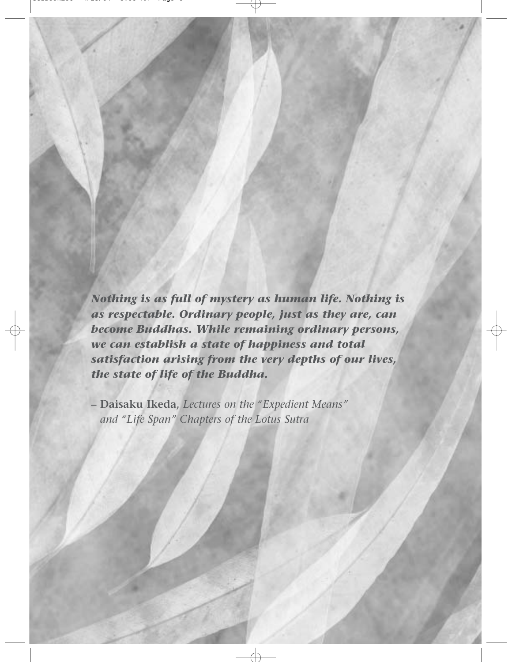*Nothing is as full of mystery as human life. Nothing is as respectable. Ordinary people, just as they are, can become Buddhas. While remaining ordinary persons, we can establish a state of happiness and total satisfaction arising from the very depths of our lives, the state of life of the Buddha.*

**– Daisaku Ikeda,** *Lectures on the "Expedient Means" and "Life Span" Chapters of the Lotus Sutra*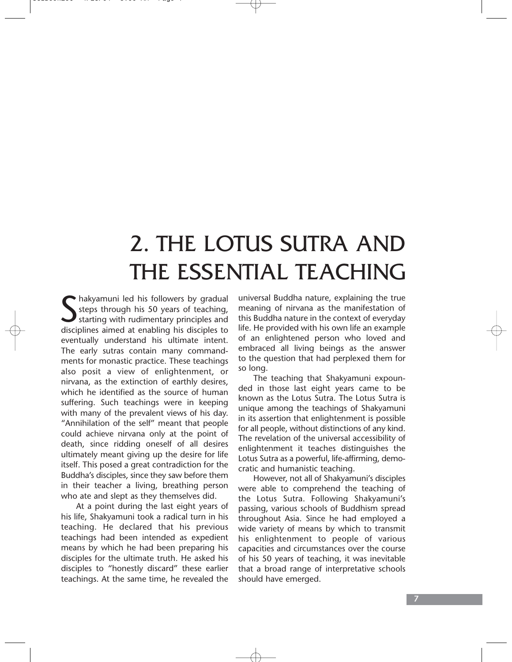# 2. THE LOTUS SUTRA AND THE ESSENTIAL TEACHING

Shakyamuni led his followers by gradual<br>
steps through his 50 years of teaching,<br>
starting with rudimentary principles and<br>
disciplines aimed at enabling his disciples to steps through his 50 years of teaching, starting with rudimentary principles and disciplines aimed at enabling his disciples to eventually understand his ultimate intent. The early sutras contain many commandments for monastic practice. These teachings also posit a view of enlightenment, or nirvana, as the extinction of earthly desires, which he identified as the source of human suffering. Such teachings were in keeping with many of the prevalent views of his day. "Annihilation of the self" meant that people could achieve nirvana only at the point of death, since ridding oneself of all desires ultimately meant giving up the desire for life itself. This posed a great contradiction for the Buddha's disciples, since they saw before them in their teacher a living, breathing person who ate and slept as they themselves did.

At a point during the last eight years of his life, Shakyamuni took a radical turn in his teaching. He declared that his previous teachings had been intended as expedient means by which he had been preparing his disciples for the ultimate truth. He asked his disciples to "honestly discard" these earlier teachings. At the same time, he revealed the

universal Buddha nature, explaining the true meaning of nirvana as the manifestation of this Buddha nature in the context of everyday life. He provided with his own life an example of an enlightened person who loved and embraced all living beings as the answer to the question that had perplexed them for so long.

The teaching that Shakyamuni expounded in those last eight years came to be known as the Lotus Sutra. The Lotus Sutra is unique among the teachings of Shakyamuni in its assertion that enlightenment is possible for all people, without distinctions of any kind. The revelation of the universal accessibility of enlightenment it teaches distinguishes the Lotus Sutra as a powerful, life-affirming, democratic and humanistic teaching.

However, not all of Shakyamuni's disciples were able to comprehend the teaching of the Lotus Sutra. Following Shakyamuni's passing, various schools of Buddhism spread throughout Asia. Since he had employed a wide variety of means by which to transmit his enlightenment to people of various capacities and circumstances over the course of his 50 years of teaching, it was inevitable that a broad range of interpretative schools should have emerged.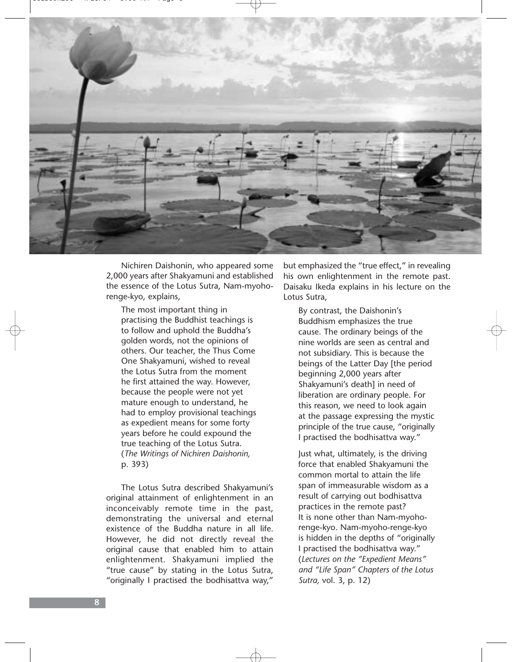

Nichiren Daishonin, who appeared some 2,000 years after Shakyamuni and established the essence of the Lotus Sutra, Nam-myohorenge-kyo, explains,

The most important thing in practising the Buddhist teachings is to follow and uphold the Buddha's golden words, not the opinions of others. Our teacher, the Thus Come One Shakyamuni, wished to reveal the Lotus Sutra from the moment he first attained the way. However, because the people were not yet mature enough to understand, he had to employ provisional teachings as expedient means for some forty years before he could expound the true teaching of the Lotus Sutra. (*The Writings of Nichiren Daishonin,* p. 393)

The Lotus Sutra described Shakyamuni's original attainment of enlightenment in an inconceivably remote time in the past, demonstrating the universal and eternal existence of the Buddha nature in all life. However, he did not directly reveal the original cause that enabled him to attain enlightenment. Shakyamuni implied the "true cause" by stating in the Lotus Sutra, "originally I practised the bodhisattva way,"

but emphasized the "true effect," in revealing his own enlightenment in the remote past. Daisaku Ikeda explains in his lecture on the Lotus Sutra,

By contrast, the Daishonin's Buddhism emphasizes the true cause. The ordinary beings of the nine worlds are seen as central and not subsidiary. This is because the beings of the Latter Day [the period beginning 2,000 years after Shakyamuni's death] in need of liberation are ordinary people. For this reason, we need to look again at the passage expressing the mystic principle of the true cause, "originally I practised the bodhisattva way."

Just what, ultimately, is the driving force that enabled Shakyamuni the common mortal to attain the life span of immeasurable wisdom as a result of carrying out bodhisattva practices in the remote past? It is none other than Nam-myohorenge-kyo. Nam-myoho-renge-kyo is hidden in the depths of "originally I practised the bodhisattva way." (*Lectures on the "Expedient Means" and "Life Span" Chapters of the Lotus Sutra,* vol. 3, p. 12)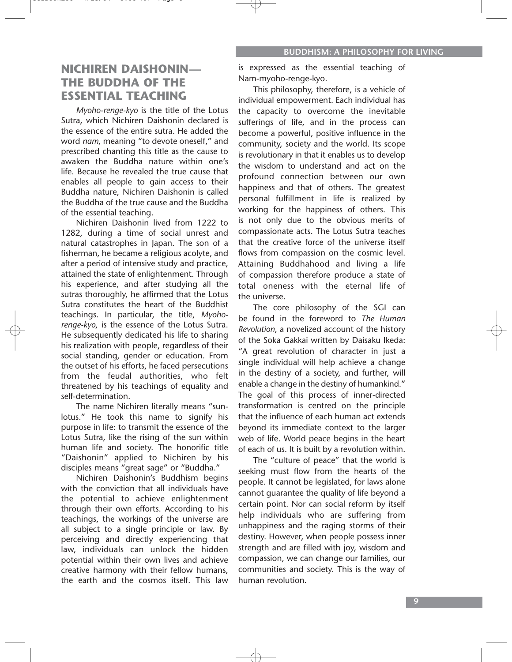### **NICHIREN DAISHONIN— THE BUDDHA OF THE ESSENTIAL TEACHING**

*Myoho-renge-kyo* is the title of the Lotus Sutra, which Nichiren Daishonin declared is the essence of the entire sutra. He added the word *nam*, meaning "to devote oneself," and prescribed chanting this title as the cause to awaken the Buddha nature within one's life. Because he revealed the true cause that enables all people to gain access to their Buddha nature, Nichiren Daishonin is called the Buddha of the true cause and the Buddha of the essential teaching.

Nichiren Daishonin lived from 1222 to 1282, during a time of social unrest and natural catastrophes in Japan. The son of a fisherman, he became a religious acolyte, and after a period of intensive study and practice, attained the state of enlightenment. Through his experience, and after studying all the sutras thoroughly, he affirmed that the Lotus Sutra constitutes the heart of the Buddhist teachings. In particular, the title, *Myohorenge-kyo*, is the essence of the Lotus Sutra. He subsequently dedicated his life to sharing his realization with people, regardless of their social standing, gender or education. From the outset of his efforts, he faced persecutions from the feudal authorities, who felt threatened by his teachings of equality and self-determination.

The name Nichiren literally means "sunlotus." He took this name to signify his purpose in life: to transmit the essence of the Lotus Sutra, like the rising of the sun within human life and society. The honorific title "Daishonin" applied to Nichiren by his disciples means "great sage" or "Buddha."

Nichiren Daishonin's Buddhism begins with the conviction that all individuals have the potential to achieve enlightenment through their own efforts. According to his teachings, the workings of the universe are all subject to a single principle or law. By perceiving and directly experiencing that law, individuals can unlock the hidden potential within their own lives and achieve creative harmony with their fellow humans, the earth and the cosmos itself. This law

is expressed as the essential teaching of Nam-myoho-renge-kyo.

This philosophy, therefore, is a vehicle of individual empowerment. Each individual has the capacity to overcome the inevitable sufferings of life, and in the process can become a powerful, positive influence in the community, society and the world. Its scope is revolutionary in that it enables us to develop the wisdom to understand and act on the profound connection between our own happiness and that of others. The greatest personal fulfillment in life is realized by working for the happiness of others. This is not only due to the obvious merits of compassionate acts. The Lotus Sutra teaches that the creative force of the universe itself flows from compassion on the cosmic level. Attaining Buddhahood and living a life of compassion therefore produce a state of total oneness with the eternal life of the universe.

The core philosophy of the SGI can be found in the foreword to *The Human Revolution*, a novelized account of the history of the Soka Gakkai written by Daisaku Ikeda: "A great revolution of character in just a single individual will help achieve a change in the destiny of a society, and further, will enable a change in the destiny of humankind." The goal of this process of inner-directed transformation is centred on the principle that the influence of each human act extends beyond its immediate context to the larger web of life. World peace begins in the heart of each of us. It is built by a revolution within.

The "culture of peace" that the world is seeking must flow from the hearts of the people. It cannot be legislated, for laws alone cannot guarantee the quality of life beyond a certain point. Nor can social reform by itself help individuals who are suffering from unhappiness and the raging storms of their destiny. However, when people possess inner strength and are filled with joy, wisdom and compassion, we can change our families, our communities and society. This is the way of human revolution.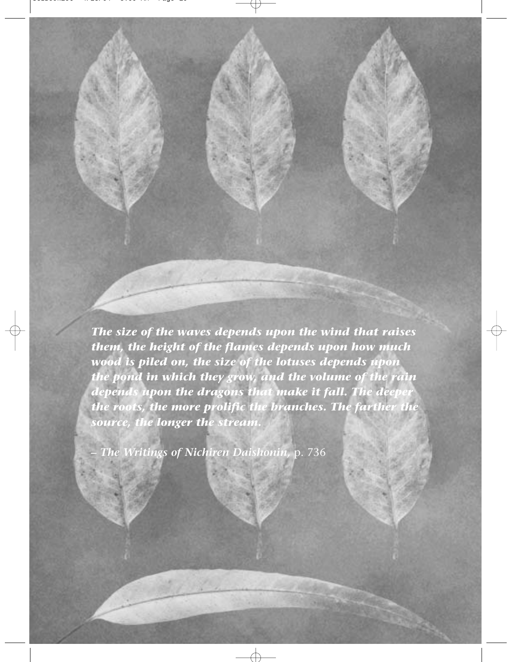*The size of the waves depends upon the wind that raises them, the height of the flames depends upon how much wood is piled on, the size of the lotuses depends upon the pond in which they grow, and the volume of the rain depends upon the dragons that make it fall. The deeper the roots, the more prolific the branches. The farther the source, the longer the stream.*

*– The Writings of Nichiren Daishonin,* p. 736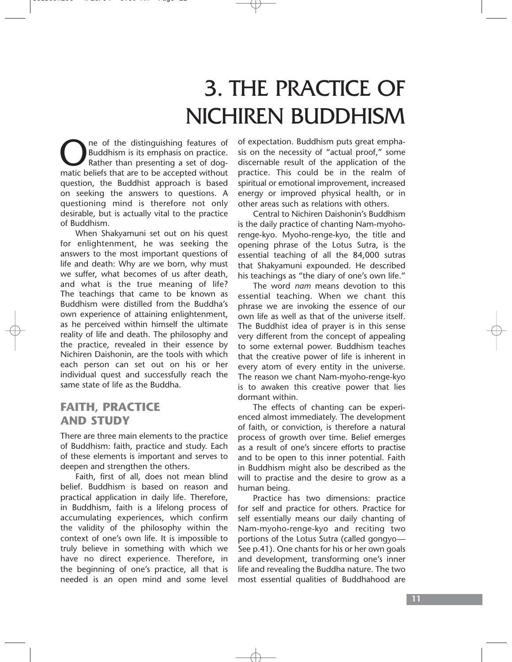# 3. THE PRACTICE OF NICHIREN BUDDHISM

One of the distinguishing features of<br>Buddhism is its emphasis on practice.<br>Rather than presenting a set of dog-<br>matic beliefs that are to be accepted without Buddhism is its emphasis on practice. Rather than presenting a set of dogmatic beliefs that are to be accepted without question, the Buddhist approach is based on seeking the answers to questions. A questioning mind is therefore not only desirable, but is actually vital to the practice of Buddhism.

When Shakyamuni set out on his quest for enlightenment, he was seeking the answers to the most important questions of life and death: Why are we born, why must we suffer, what becomes of us after death, and what is the true meaning of life? The teachings that came to be known as Buddhism were distilled from the Buddha's own experience of attaining enlightenment, as he perceived within himself the ultimate reality of life and death. The philosophy and the practice, revealed in their essence by Nichiren Daishonin, are the tools with which each person can set out on his or her individual quest and successfully reach the same state of life as the Buddha.

### **FAITH, PRACTICE AND STUDY**

There are three main elements to the practice of Buddhism: faith, practice and study. Each of these elements is important and serves to deepen and strengthen the others.

Faith, first of all, does not mean blind belief. Buddhism is based on reason and practical application in daily life. Therefore, in Buddhism, faith is a lifelong process of accumulating experiences, which confirm the validity of the philosophy within the context of one's own life. It is impossible to truly believe in something with which we have no direct experience. Therefore, in the beginning of one's practice, all that is needed is an open mind and some level of expectation. Buddhism puts great emphasis on the necessity of "actual proof," some discernable result of the application of the practice. This could be in the realm of spiritual or emotional improvement, increased energy or improved physical health, or in other areas such as relations with others.

Central to Nichiren Daishonin's Buddhism is the daily practice of chanting Nam-myohorenge-kyo. Myoho-renge-kyo, the title and opening phrase of the Lotus Sutra, is the essential teaching of all the 84,000 sutras that Shakyamuni expounded. He described his teachings as "the diary of one's own life."

The word *nam* means devotion to this essential teaching. When we chant this phrase we are invoking the essence of our own life as well as that of the universe itself. The Buddhist idea of prayer is in this sense very different from the concept of appealing to some external power. Buddhism teaches that the creative power of life is inherent in every atom of every entity in the universe. The reason we chant Nam-myoho-renge-kyo is to awaken this creative power that lies dormant within.

The effects of chanting can be experienced almost immediately. The development of faith, or conviction, is therefore a natural process of growth over time. Belief emerges as a result of one's sincere efforts to practise and to be open to this inner potential. Faith in Buddhism might also be described as the will to practise and the desire to grow as a human being.

Practice has two dimensions: practice for self and practice for others. Practice for self essentially means our daily chanting of Nam-myoho-renge-kyo and reciting two portions of the Lotus Sutra (called gongyo— See p.41). One chants for his or her own goals and development, transforming one's inner life and revealing the Buddha nature. The two most essential qualities of Buddhahood are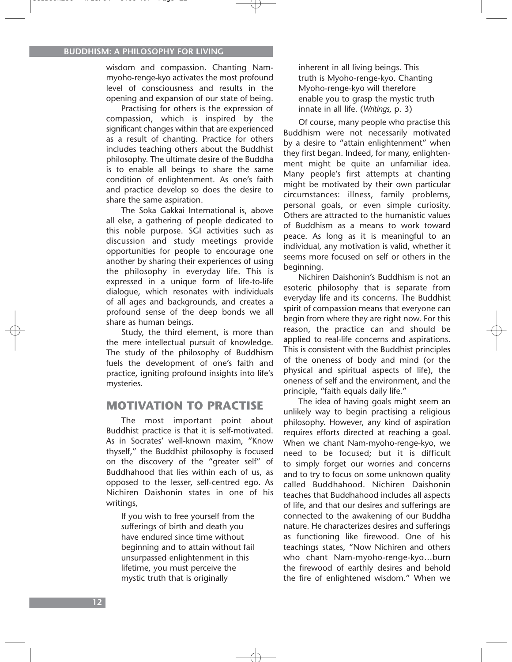wisdom and compassion. Chanting Nammyoho-renge-kyo activates the most profound level of consciousness and results in the opening and expansion of our state of being.

Practising for others is the expression of compassion, which is inspired by the significant changes within that are experienced as a result of chanting. Practice for others includes teaching others about the Buddhist philosophy. The ultimate desire of the Buddha is to enable all beings to share the same condition of enlightenment. As one's faith and practice develop so does the desire to share the same aspiration.

The Soka Gakkai International is, above all else, a gathering of people dedicated to this noble purpose. SGI activities such as discussion and study meetings provide opportunities for people to encourage one another by sharing their experiences of using the philosophy in everyday life. This is expressed in a unique form of life-to-life dialogue, which resonates with individuals of all ages and backgrounds, and creates a profound sense of the deep bonds we all share as human beings.

Study, the third element, is more than the mere intellectual pursuit of knowledge. The study of the philosophy of Buddhism fuels the development of one's faith and practice, igniting profound insights into life's mysteries.

### **MOTIVATION TO PRACTISE**

The most important point about Buddhist practice is that it is self-motivated. As in Socrates' well-known maxim, "Know thyself," the Buddhist philosophy is focused on the discovery of the "greater self" of Buddhahood that lies within each of us, as opposed to the lesser, self-centred ego. As Nichiren Daishonin states in one of his writings,

If you wish to free yourself from the sufferings of birth and death you have endured since time without beginning and to attain without fail unsurpassed enlightenment in this lifetime, you must perceive the mystic truth that is originally

inherent in all living beings. This truth is Myoho-renge-kyo. Chanting Myoho-renge-kyo will therefore enable you to grasp the mystic truth innate in all life. (*Writings*, p. 3)

Of course, many people who practise this Buddhism were not necessarily motivated by a desire to "attain enlightenment" when they first began. Indeed, for many, enlightenment might be quite an unfamiliar idea. Many people's first attempts at chanting might be motivated by their own particular circumstances: illness, family problems, personal goals, or even simple curiosity. Others are attracted to the humanistic values of Buddhism as a means to work toward peace. As long as it is meaningful to an individual, any motivation is valid, whether it seems more focused on self or others in the beginning.

Nichiren Daishonin's Buddhism is not an esoteric philosophy that is separate from everyday life and its concerns. The Buddhist spirit of compassion means that everyone can begin from where they are right now. For this reason, the practice can and should be applied to real-life concerns and aspirations. This is consistent with the Buddhist principles of the oneness of body and mind (or the physical and spiritual aspects of life), the oneness of self and the environment, and the principle, "faith equals daily life."

The idea of having goals might seem an unlikely way to begin practising a religious philosophy. However, any kind of aspiration requires efforts directed at reaching a goal. When we chant Nam-myoho-renge-kyo, we need to be focused; but it is difficult to simply forget our worries and concerns and to try to focus on some unknown quality called Buddhahood. Nichiren Daishonin teaches that Buddhahood includes all aspects of life, and that our desires and sufferings are connected to the awakening of our Buddha nature. He characterizes desires and sufferings as functioning like firewood. One of his teachings states, "Now Nichiren and others who chant Nam-myoho-renge-kyo…burn the firewood of earthly desires and behold the fire of enlightened wisdom." When we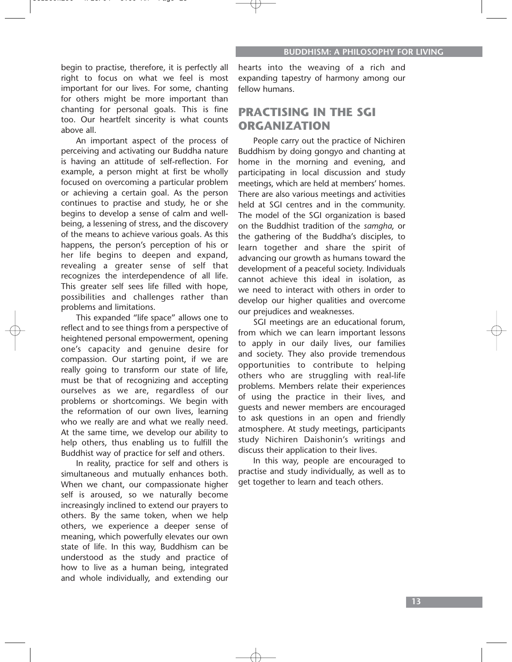begin to practise, therefore, it is perfectly all right to focus on what we feel is most important for our lives. For some, chanting for others might be more important than chanting for personal goals. This is fine too. Our heartfelt sincerity is what counts above all.

An important aspect of the process of perceiving and activating our Buddha nature is having an attitude of self-reflection. For example, a person might at first be wholly focused on overcoming a particular problem or achieving a certain goal. As the person continues to practise and study, he or she begins to develop a sense of calm and wellbeing, a lessening of stress, and the discovery of the means to achieve various goals. As this happens, the person's perception of his or her life begins to deepen and expand, revealing a greater sense of self that recognizes the interdependence of all life. This greater self sees life filled with hope, possibilities and challenges rather than problems and limitations.

This expanded "life space" allows one to reflect and to see things from a perspective of heightened personal empowerment, opening one's capacity and genuine desire for compassion. Our starting point, if we are really going to transform our state of life, must be that of recognizing and accepting ourselves as we are, regardless of our problems or shortcomings. We begin with the reformation of our own lives, learning who we really are and what we really need. At the same time, we develop our ability to help others, thus enabling us to fulfill the Buddhist way of practice for self and others.

In reality, practice for self and others is simultaneous and mutually enhances both. When we chant, our compassionate higher self is aroused, so we naturally become increasingly inclined to extend our prayers to others. By the same token, when we help others, we experience a deeper sense of meaning, which powerfully elevates our own state of life. In this way, Buddhism can be understood as the study and practice of how to live as a human being, integrated and whole individually, and extending our

hearts into the weaving of a rich and expanding tapestry of harmony among our fellow humans.

## **PRACTISING IN THE SGI ORGANIZATION**

People carry out the practice of Nichiren Buddhism by doing gongyo and chanting at home in the morning and evening, and participating in local discussion and study meetings, which are held at members' homes. There are also various meetings and activities held at SGI centres and in the community. The model of the SGI organization is based on the Buddhist tradition of the *samgha*, or the gathering of the Buddha's disciples, to learn together and share the spirit of advancing our growth as humans toward the development of a peaceful society. Individuals cannot achieve this ideal in isolation, as we need to interact with others in order to develop our higher qualities and overcome our prejudices and weaknesses.

SGI meetings are an educational forum, from which we can learn important lessons to apply in our daily lives, our families and society. They also provide tremendous opportunities to contribute to helping others who are struggling with real-life problems. Members relate their experiences of using the practice in their lives, and guests and newer members are encouraged to ask questions in an open and friendly atmosphere. At study meetings, participants study Nichiren Daishonin's writings and discuss their application to their lives.

In this way, people are encouraged to practise and study individually, as well as to get together to learn and teach others.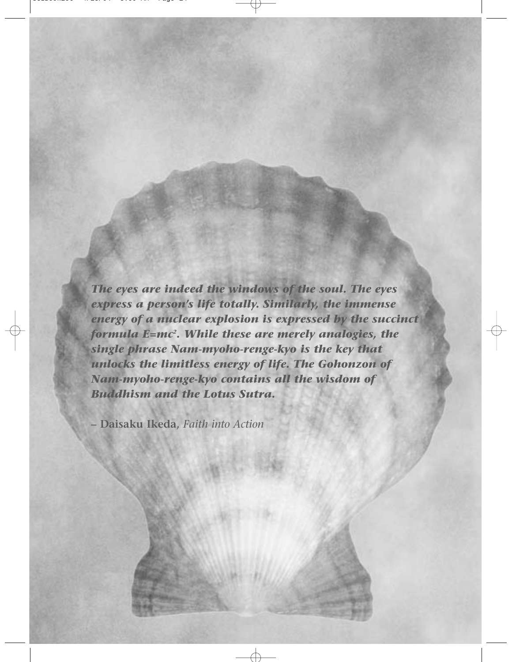*The eyes are indeed the windows of the soul. The eyes express a person's life totally. Similarly, the immense energy of a nuclear explosion is expressed by the succinct formula E=mc2 . While these are merely analogies, the single phrase Nam-myoho-renge-kyo is the key that unlocks the limitless energy of life. The Gohonzon of Nam-myoho-renge-kyo contains all the wisdom of Buddhism and the Lotus Sutra.*

**– Daisaku Ikeda,** *Faith into Action*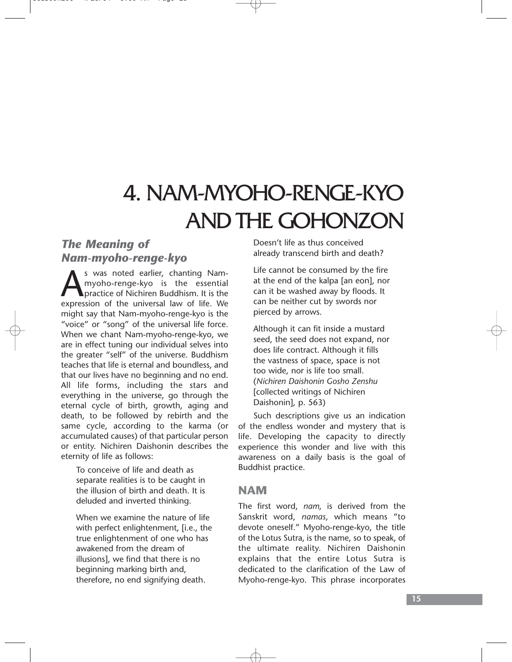# 4. NAM-MYOHO-RENGE-KYO AND THE GOHONZON

### *The Meaning of Nam-myoho-renge-kyo*

s was noted earlier, chanting Nammyoho-renge-kyo is the essential practice of Nichiren Buddhism. It is the expression of the universal law of life. We might say that Nam-myoho-renge-kyo is the "voice" or "song" of the universal life force. When we chant Nam-myoho-renge-kyo, we are in effect tuning our individual selves into the greater "self" of the universe. Buddhism teaches that life is eternal and boundless, and that our lives have no beginning and no end. All life forms, including the stars and everything in the universe, go through the eternal cycle of birth, growth, aging and death, to be followed by rebirth and the same cycle, according to the karma (or accumulated causes) of that particular person or entity. Nichiren Daishonin describes the eternity of life as follows:

To conceive of life and death as separate realities is to be caught in the illusion of birth and death. It is deluded and inverted thinking.

When we examine the nature of life with perfect enlightenment, [i.e., the true enlightenment of one who has awakened from the dream of illusions], we find that there is no beginning marking birth and, therefore, no end signifying death.

Doesn't life as thus conceived already transcend birth and death?

Life cannot be consumed by the fire at the end of the kalpa [an eon], nor can it be washed away by floods. It can be neither cut by swords nor pierced by arrows.

Although it can fit inside a mustard seed, the seed does not expand, nor does life contract. Although it fills the vastness of space, space is not too wide, nor is life too small. (*Nichiren Daishonin Gosho Zenshu* [collected writings of Nichiren Daishonin], p. 563)

Such descriptions give us an indication of the endless wonder and mystery that is life. Developing the capacity to directly experience this wonder and live with this awareness on a daily basis is the goal of Buddhist practice.

### **NAM**

The first word, *nam*, is derived from the Sanskrit word, *namas*, which means "to devote oneself." Myoho-renge-kyo, the title of the Lotus Sutra, is the name, so to speak, of the ultimate reality. Nichiren Daishonin explains that the entire Lotus Sutra is dedicated to the clarification of the Law of Myoho-renge-kyo. This phrase incorporates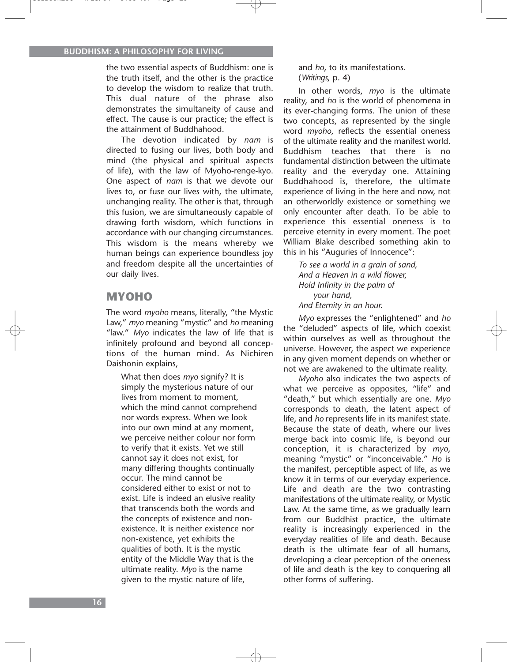the two essential aspects of Buddhism: one is the truth itself, and the other is the practice to develop the wisdom to realize that truth. This dual nature of the phrase also demonstrates the simultaneity of cause and effect. The cause is our practice; the effect is the attainment of Buddhahood.

The devotion indicated by *nam* is directed to fusing our lives, both body and mind (the physical and spiritual aspects of life), with the law of Myoho-renge-kyo. One aspect of *nam* is that we devote our lives to, or fuse our lives with, the ultimate, unchanging reality. The other is that, through this fusion, we are simultaneously capable of drawing forth wisdom, which functions in accordance with our changing circumstances. This wisdom is the means whereby we human beings can experience boundless joy and freedom despite all the uncertainties of our daily lives.

### **MYOHO**

The word *myoho* means, literally, "the Mystic Law," *myo* meaning "mystic" and *ho* meaning "law." *Myo* indicates the law of life that is infinitely profound and beyond all conceptions of the human mind. As Nichiren Daishonin explains,

What then does *myo* signify? It is simply the mysterious nature of our lives from moment to moment, which the mind cannot comprehend nor words express. When we look into our own mind at any moment, we perceive neither colour nor form to verify that it exists. Yet we still cannot say it does not exist, for many differing thoughts continually occur. The mind cannot be considered either to exist or not to exist. Life is indeed an elusive reality that transcends both the words and the concepts of existence and nonexistence. It is neither existence nor non-existence, yet exhibits the qualities of both. It is the mystic entity of the Middle Way that is the ultimate reality. *Myo* is the name given to the mystic nature of life,

and *ho*, to its manifestations. (*Writings*, p. 4)

In other words, *myo* is the ultimate reality, and *ho* is the world of phenomena in its ever-changing forms. The union of these two concepts, as represented by the single word *myoho*, reflects the essential oneness of the ultimate reality and the manifest world. Buddhism teaches that there is no fundamental distinction between the ultimate reality and the everyday one. Attaining Buddhahood is, therefore, the ultimate experience of living in the here and now, not an otherworldly existence or something we only encounter after death. To be able to experience this essential oneness is to perceive eternity in every moment. The poet William Blake described something akin to this in his "Auguries of Innocence":

*To see a world in a grain of sand, And a Heaven in a wild flower, Hold Infinity in the palm of your hand, And Eternity in an hour.*

*Myo* expresses the "enlightened" and *ho* the "deluded" aspects of life, which coexist within ourselves as well as throughout the universe. However, the aspect we experience in any given moment depends on whether or not we are awakened to the ultimate reality.

*Myoho* also indicates the two aspects of what we perceive as opposites, "life" and "death," but which essentially are one. *Myo* corresponds to death, the latent aspect of life, and *ho* represents life in its manifest state. Because the state of death, where our lives merge back into cosmic life, is beyond our conception, it is characterized by *myo*, meaning "mystic" or "inconceivable." *Ho* is the manifest, perceptible aspect of life, as we know it in terms of our everyday experience. Life and death are the two contrasting manifestations of the ultimate reality, or Mystic Law. At the same time, as we gradually learn from our Buddhist practice, the ultimate reality is increasingly experienced in the everyday realities of life and death. Because death is the ultimate fear of all humans, developing a clear perception of the oneness of life and death is the key to conquering all other forms of suffering.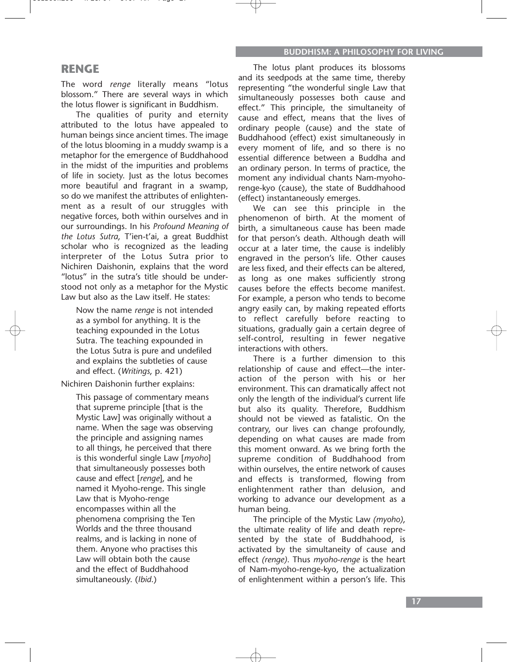### **RENGE**

The word *renge* literally means "lotus blossom." There are several ways in which the lotus flower is significant in Buddhism.

The qualities of purity and eternity attributed to the lotus have appealed to human beings since ancient times. The image of the lotus blooming in a muddy swamp is a metaphor for the emergence of Buddhahood in the midst of the impurities and problems of life in society. Just as the lotus becomes more beautiful and fragrant in a swamp, so do we manifest the attributes of enlightenment as a result of our struggles with negative forces, both within ourselves and in our surroundings. In his *Profound Meaning of the Lotus Sutra*, T'ien-t'ai, a great Buddhist scholar who is recognized as the leading interpreter of the Lotus Sutra prior to Nichiren Daishonin, explains that the word "lotus" in the sutra's title should be understood not only as a metaphor for the Mystic Law but also as the Law itself. He states:

Now the name *renge* is not intended as a symbol for anything. It is the teaching expounded in the Lotus Sutra. The teaching expounded in the Lotus Sutra is pure and undefiled and explains the subtleties of cause and effect. (*Writings*, p. 421)

Nichiren Daishonin further explains:

This passage of commentary means that supreme principle [that is the Mystic Law] was originally without a name. When the sage was observing the principle and assigning names to all things, he perceived that there is this wonderful single Law [*myoho*] that simultaneously possesses both cause and effect [*renge*], and he named it Myoho-renge. This single Law that is Myoho-renge encompasses within all the phenomena comprising the Ten Worlds and the three thousand realms, and is lacking in none of them. Anyone who practises this Law will obtain both the cause and the effect of Buddhahood simultaneously. (*Ibid*.)

The lotus plant produces its blossoms and its seedpods at the same time, thereby representing "the wonderful single Law that simultaneously possesses both cause and effect." This principle, the simultaneity of cause and effect, means that the lives of ordinary people (cause) and the state of Buddhahood (effect) exist simultaneously in every moment of life, and so there is no essential difference between a Buddha and an ordinary person. In terms of practice, the moment any individual chants Nam-myohorenge-kyo (cause), the state of Buddhahood (effect) instantaneously emerges.

We can see this principle in the phenomenon of birth. At the moment of birth, a simultaneous cause has been made for that person's death. Although death will occur at a later time, the cause is indelibly engraved in the person's life. Other causes are less fixed, and their effects can be altered, as long as one makes sufficiently strong causes before the effects become manifest. For example, a person who tends to become angry easily can, by making repeated efforts to reflect carefully before reacting to situations, gradually gain a certain degree of self-control, resulting in fewer negative interactions with others.

There is a further dimension to this relationship of cause and effect—the interaction of the person with his or her environment. This can dramatically affect not only the length of the individual's current life but also its quality. Therefore, Buddhism should not be viewed as fatalistic. On the contrary, our lives can change profoundly, depending on what causes are made from this moment onward. As we bring forth the supreme condition of Buddhahood from within ourselves, the entire network of causes and effects is transformed, flowing from enlightenment rather than delusion, and working to advance our development as a human being.

The principle of the Mystic Law *(myoho)*, the ultimate reality of life and death represented by the state of Buddhahood, is activated by the simultaneity of cause and effect *(renge)*. Thus *myoho-renge* is the heart of Nam-myoho-renge-kyo, the actualization of enlightenment within a person's life. This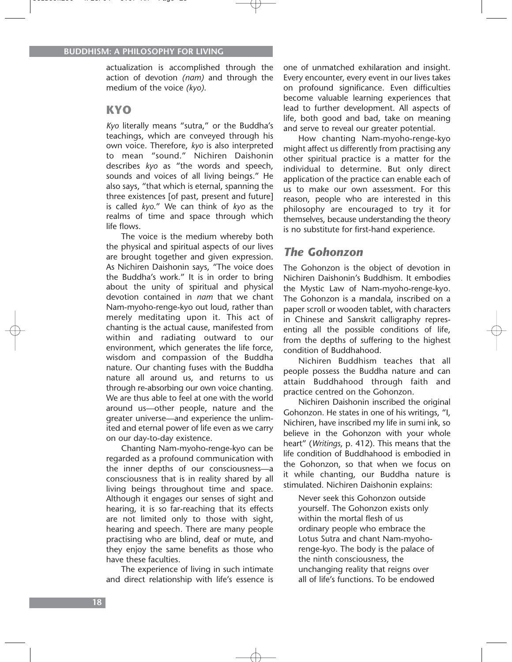actualization is accomplished through the action of devotion *(nam)* and through the medium of the voice *(kyo)*.

### **KYO**

*Kyo* literally means "sutra," or the Buddha's teachings, which are conveyed through his own voice. Therefore, *kyo* is also interpreted to mean "sound." Nichiren Daishonin describes *kyo* as "the words and speech, sounds and voices of all living beings." He also says, "that which is eternal, spanning the three existences [of past, present and future] is called *kyo*." We can think of *kyo* as the realms of time and space through which life flows.

The voice is the medium whereby both the physical and spiritual aspects of our lives are brought together and given expression. As Nichiren Daishonin says, "The voice does the Buddha's work." It is in order to bring about the unity of spiritual and physical devotion contained in *nam* that we chant Nam-myoho-renge-kyo out loud, rather than merely meditating upon it. This act of chanting is the actual cause, manifested from within and radiating outward to our environment, which generates the life force, wisdom and compassion of the Buddha nature. Our chanting fuses with the Buddha nature all around us, and returns to us through re-absorbing our own voice chanting. We are thus able to feel at one with the world around us—other people, nature and the greater universe—and experience the unlimited and eternal power of life even as we carry on our day-to-day existence.

Chanting Nam-myoho-renge-kyo can be regarded as a profound communication with the inner depths of our consciousness—a consciousness that is in reality shared by all living beings throughout time and space. Although it engages our senses of sight and hearing, it is so far-reaching that its effects are not limited only to those with sight, hearing and speech. There are many people practising who are blind, deaf or mute, and they enjoy the same benefits as those who have these faculties.

The experience of living in such intimate and direct relationship with life's essence is one of unmatched exhilaration and insight. Every encounter, every event in our lives takes on profound significance. Even difficulties become valuable learning experiences that lead to further development. All aspects of life, both good and bad, take on meaning and serve to reveal our greater potential.

How chanting Nam-myoho-renge-kyo might affect us differently from practising any other spiritual practice is a matter for the individual to determine. But only direct application of the practice can enable each of us to make our own assessment. For this reason, people who are interested in this philosophy are encouraged to try it for themselves, because understanding the theory is no substitute for first-hand experience.

### *The Gohonzon*

The Gohonzon is the object of devotion in Nichiren Daishonin's Buddhism. It embodies the Mystic Law of Nam-myoho-renge-kyo. The Gohonzon is a mandala, inscribed on a paper scroll or wooden tablet, with characters in Chinese and Sanskrit calligraphy representing all the possible conditions of life, from the depths of suffering to the highest condition of Buddhahood.

Nichiren Buddhism teaches that all people possess the Buddha nature and can attain Buddhahood through faith and practice centred on the Gohonzon.

Nichiren Daishonin inscribed the original Gohonzon. He states in one of his writings, "I, Nichiren, have inscribed my life in sumi ink, so believe in the Gohonzon with your whole heart" (*Writings*, p. 412). This means that the life condition of Buddhahood is embodied in the Gohonzon, so that when we focus on it while chanting, our Buddha nature is stimulated. Nichiren Daishonin explains:

Never seek this Gohonzon outside yourself. The Gohonzon exists only within the mortal flesh of us ordinary people who embrace the Lotus Sutra and chant Nam-myohorenge-kyo. The body is the palace of the ninth consciousness, the unchanging reality that reigns over all of life's functions. To be endowed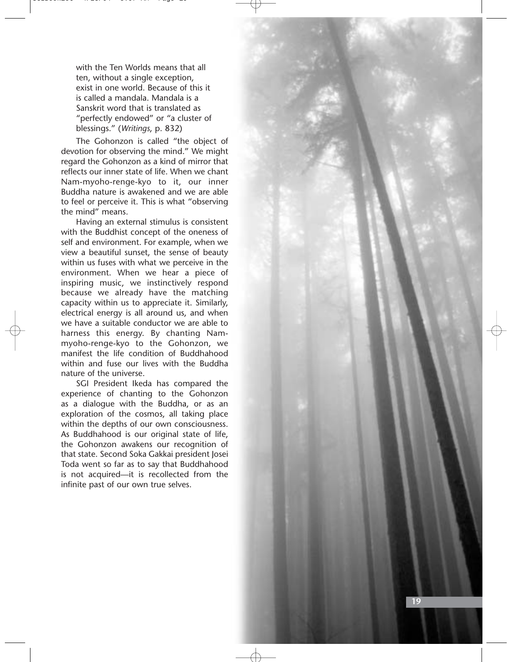with the Ten Worlds means that all ten, without a single exception, exist in one world. Because of this it is called a mandala. Mandala is a Sanskrit word that is translated as "perfectly endowed" or "a cluster of blessings." ( *Writings*, p. 832)

The Gohonzon is called "the object of devotion for observing the mind." We might regard the Gohonzon as a kind of mirror that reflects our inner state of life. When we chant Nam-myoho-renge-kyo to it, our inner Buddha nature is awakened and we are able to feel or perceive it. This is what "observing the mind" means.

Having an external stimulus is consistent with the Buddhist concept of the oneness of self and environment. For example, when we view a beautiful sunset, the sense of beauty within us fuses with what we perceive in the environment. When we hear a piece of inspiring music, we instinctively respond because we already have the matching capacity within us to appreciate it. Similarly, electrical energy is all around us, and when we have a suitable conductor we are able to harness this energy. By chanting Nammyoho-renge-kyo to the Gohonzon, we manifest the life condition of Buddhahood within and fuse our lives with the Buddha nature of the universe.

SGI President Ikeda has compared the experience of chanting to the Gohonzon as a dialogue with the Buddha, or as an exploration of the cosmos, all taking place within the depths of our own consciousness. As Buddhahood is our original state of life, the Gohonzon awakens our recognition of that state. Second Soka Gakkai president Josei Toda went so far as to say that Buddhahood is not acquired—it is recollected from the infinite past of our own true selves.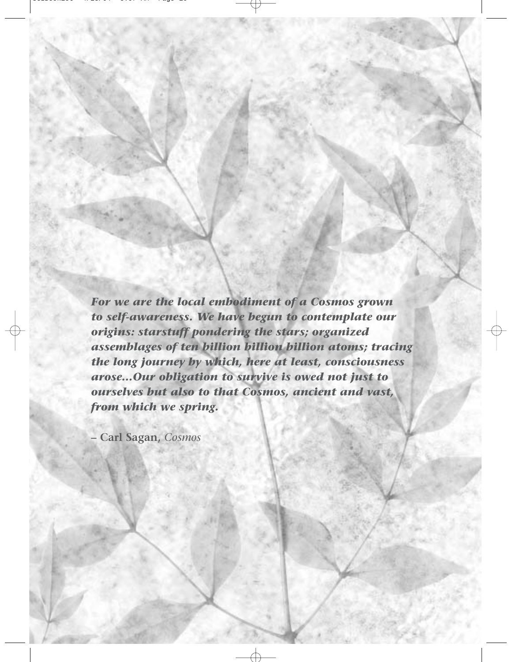*For we are the local embodiment of a Cosmos grown to self-awareness. We have begun to contemplate our origins: starstuff pondering the stars; organized assemblages of ten billion billion billion atoms; tracing the long journey by which, here at least, consciousness arose…Our obligation to survive is owed not just to ourselves but also to that Cosmos, ancient and vast, from which we spring.*

**– Carl Sagan,** *Cosmos*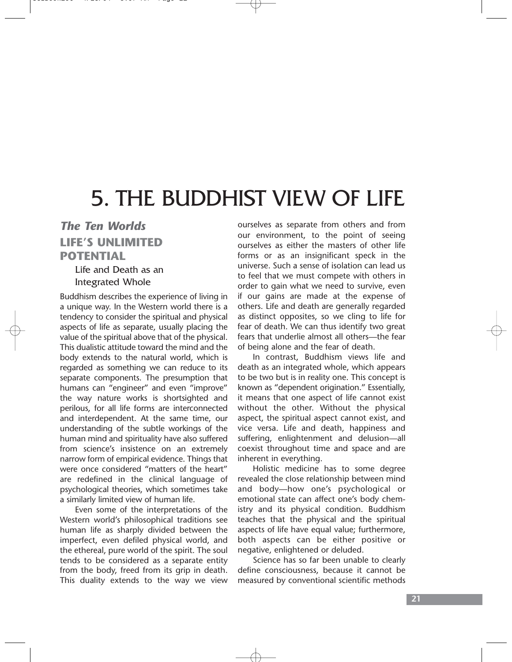# 5. THE BUDDHIST VIEW OF LIFE

# *The Ten Worlds* **LIFE'S UNLIMITED POTENTIAL**

Life and Death as an Integrated Whole

Buddhism describes the experience of living in a unique way. In the Western world there is a tendency to consider the spiritual and physical aspects of life as separate, usually placing the value of the spiritual above that of the physical. This dualistic attitude toward the mind and the body extends to the natural world, which is regarded as something we can reduce to its separate components. The presumption that humans can "engineer" and even "improve" the way nature works is shortsighted and perilous, for all life forms are interconnected and interdependent. At the same time, our understanding of the subtle workings of the human mind and spirituality have also suffered from science's insistence on an extremely narrow form of empirical evidence. Things that were once considered "matters of the heart" are redefined in the clinical language of psychological theories, which sometimes take a similarly limited view of human life.

Even some of the interpretations of the Western world's philosophical traditions see human life as sharply divided between the imperfect, even defiled physical world, and the ethereal, pure world of the spirit. The soul tends to be considered as a separate entity from the body, freed from its grip in death. This duality extends to the way we view ourselves as separate from others and from our environment, to the point of seeing ourselves as either the masters of other life forms or as an insignificant speck in the universe. Such a sense of isolation can lead us to feel that we must compete with others in order to gain what we need to survive, even if our gains are made at the expense of others. Life and death are generally regarded as distinct opposites, so we cling to life for fear of death. We can thus identify two great fears that underlie almost all others—the fear of being alone and the fear of death.

In contrast, Buddhism views life and death as an integrated whole, which appears to be two but is in reality one. This concept is known as "dependent origination." Essentially, it means that one aspect of life cannot exist without the other. Without the physical aspect, the spiritual aspect cannot exist, and vice versa. Life and death, happiness and suffering, enlightenment and delusion—all coexist throughout time and space and are inherent in everything.

Holistic medicine has to some degree revealed the close relationship between mind and body—how one's psychological or emotional state can affect one's body chemistry and its physical condition. Buddhism teaches that the physical and the spiritual aspects of life have equal value; furthermore, both aspects can be either positive or negative, enlightened or deluded.

Science has so far been unable to clearly define consciousness, because it cannot be measured by conventional scientific methods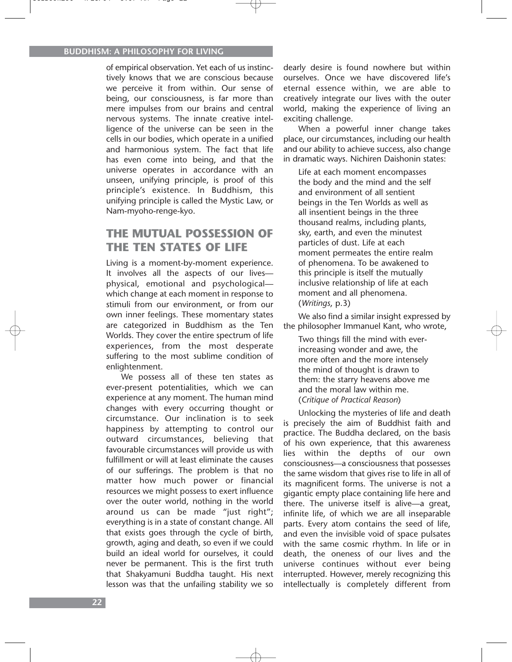of empirical observation. Yet each of us instinctively knows that we are conscious because we perceive it from within. Our sense of being, our consciousness, is far more than mere impulses from our brains and central nervous systems. The innate creative intelligence of the universe can be seen in the cells in our bodies, which operate in a unified and harmonious system. The fact that life has even come into being, and that the universe operates in accordance with an unseen, unifying principle, is proof of this principle's existence. In Buddhism, this unifying principle is called the Mystic Law, or Nam-myoho-renge-kyo.

### **THE MUTUAL POSSESSION OF THE TEN STATES OF LIFE**

Living is a moment-by-moment experience. It involves all the aspects of our lives physical, emotional and psychological which change at each moment in response to stimuli from our environment, or from our own inner feelings. These momentary states are categorized in Buddhism as the Ten Worlds. They cover the entire spectrum of life experiences, from the most desperate suffering to the most sublime condition of enlightenment.

We possess all of these ten states as ever-present potentialities, which we can experience at any moment. The human mind changes with every occurring thought or circumstance. Our inclination is to seek happiness by attempting to control our outward circumstances, believing that favourable circumstances will provide us with fulfillment or will at least eliminate the causes of our sufferings. The problem is that no matter how much power or financial resources we might possess to exert influence over the outer world, nothing in the world around us can be made "just right"; everything is in a state of constant change. All that exists goes through the cycle of birth, growth, aging and death, so even if we could build an ideal world for ourselves, it could never be permanent. This is the first truth that Shakyamuni Buddha taught. His next lesson was that the unfailing stability we so

dearly desire is found nowhere but within ourselves. Once we have discovered life's eternal essence within, we are able to creatively integrate our lives with the outer world, making the experience of living an exciting challenge.

When a powerful inner change takes place, our circumstances, including our health and our ability to achieve success, also change in dramatic ways. Nichiren Daishonin states:

Life at each moment encompasses the body and the mind and the self and environment of all sentient beings in the Ten Worlds as well as all insentient beings in the three thousand realms, including plants, sky, earth, and even the minutest particles of dust. Life at each moment permeates the entire realm of phenomena. To be awakened to this principle is itself the mutually inclusive relationship of life at each moment and all phenomena. (*Writings*, p.3)

We also find a similar insight expressed by the philosopher Immanuel Kant, who wrote,

Two things fill the mind with everincreasing wonder and awe, the more often and the more intensely the mind of thought is drawn to them: the starry heavens above me and the moral law within me. (*Critique of Practical Reason*)

Unlocking the mysteries of life and death is precisely the aim of Buddhist faith and practice. The Buddha declared, on the basis of his own experience, that this awareness lies within the depths of our own consciousness—a consciousness that possesses the same wisdom that gives rise to life in all of its magnificent forms. The universe is not a gigantic empty place containing life here and there. The universe itself is alive—a great, infinite life, of which we are all inseparable parts. Every atom contains the seed of life, and even the invisible void of space pulsates with the same cosmic rhythm. In life or in death, the oneness of our lives and the universe continues without ever being interrupted. However, merely recognizing this intellectually is completely different from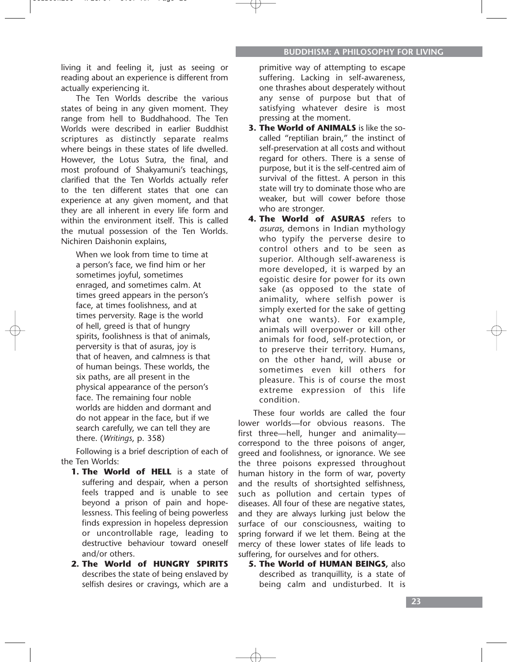living it and feeling it, just as seeing or reading about an experience is different from actually experiencing it.

The Ten Worlds describe the various states of being in any given moment. They range from hell to Buddhahood. The Ten Worlds were described in earlier Buddhist scriptures as distinctly separate realms where beings in these states of life dwelled. However, the Lotus Sutra, the final, and most profound of Shakyamuni's teachings, clarified that the Ten Worlds actually refer to the ten different states that one can experience at any given moment, and that they are all inherent in every life form and within the environment itself. This is called the mutual possession of the Ten Worlds. Nichiren Daishonin explains,

When we look from time to time at a person's face, we find him or her sometimes joyful, sometimes enraged, and sometimes calm. At times greed appears in the person's face, at times foolishness, and at times perversity. Rage is the world of hell, greed is that of hungry spirits, foolishness is that of animals, perversity is that of asuras, joy is that of heaven, and calmness is that of human beings. These worlds, the six paths, are all present in the physical appearance of the person's face. The remaining four noble worlds are hidden and dormant and do not appear in the face, but if we search carefully, we can tell they are there. (*Writings*, p. 358)

Following is a brief description of each of the Ten Worlds:

- **1. The World of HELL** is a state of suffering and despair, when a person feels trapped and is unable to see beyond a prison of pain and hopelessness. This feeling of being powerless finds expression in hopeless depression or uncontrollable rage, leading to destructive behaviour toward oneself and/or others.
- **2. The World of HUNGRY SPIRITS** describes the state of being enslaved by selfish desires or cravings, which are a

primitive way of attempting to escape suffering. Lacking in self-awareness, one thrashes about desperately without any sense of purpose but that of satisfying whatever desire is most pressing at the moment.

- **3. The World of ANIMALS** is like the socalled "reptilian brain," the instinct of self-preservation at all costs and without regard for others. There is a sense of purpose, but it is the self-centred aim of survival of the fittest. A person in this state will try to dominate those who are weaker, but will cower before those who are stronger.
- **4. The World of ASURAS** refers to *asuras*, demons in Indian mythology who typify the perverse desire to control others and to be seen as superior. Although self-awareness is more developed, it is warped by an egoistic desire for power for its own sake (as opposed to the state of animality, where selfish power is simply exerted for the sake of getting what one wants). For example, animals will overpower or kill other animals for food, self-protection, or to preserve their territory. Humans, on the other hand, will abuse or sometimes even kill others for pleasure. This is of course the most extreme expression of this life condition.

These four worlds are called the four lower worlds—for obvious reasons. The first three—hell, hunger and animality correspond to the three poisons of anger, greed and foolishness, or ignorance. We see the three poisons expressed throughout human history in the form of war, poverty and the results of shortsighted selfishness, such as pollution and certain types of diseases. All four of these are negative states, and they are always lurking just below the surface of our consciousness, waiting to spring forward if we let them. Being at the mercy of these lower states of life leads to suffering, for ourselves and for others.

**5. The World of HUMAN BEINGS,** also described as tranquillity, is a state of being calm and undisturbed. It is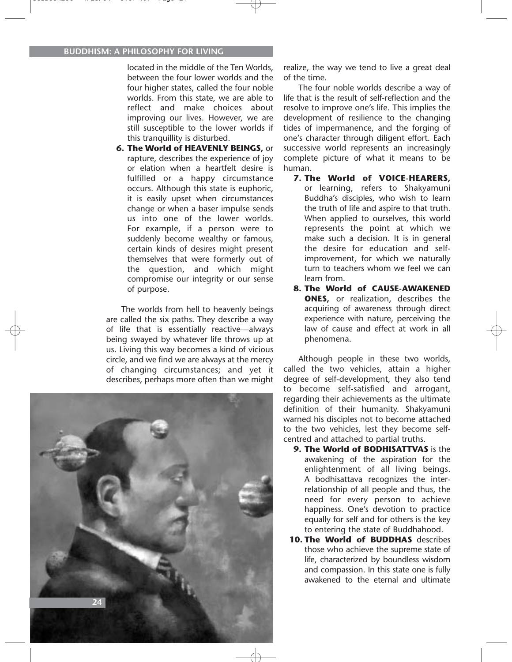located in the middle of the Ten Worlds, between the four lower worlds and the four higher states, called the four noble worlds. From this state, we are able to reflect and make choices about improving our lives. However, we are still susceptible to the lower worlds if this tranquillity is disturbed.

**6. The World of HEAVENLY BEINGS,** or rapture, describes the experience of joy or elation when a heartfelt desire is fulfilled or a happy circumstance occurs. Although this state is euphoric, it is easily upset when circumstances change or when a baser impulse sends us into one of the lower worlds. For example, if a person were to suddenly become wealthy or famous, certain kinds of desires might present themselves that were formerly out of the question, and which might compromise our integrity or our sense of purpose.

The worlds from hell to heavenly beings are called the six paths. They describe a way of life that is essentially reactive—always being swayed by whatever life throws up at us. Living this way becomes a kind of vicious circle, and we find we are always at the mercy of changing circumstances; and yet it describes, perhaps more often than we might



realize, the way we tend to live a great deal of the time.

The four noble worlds describe a way of life that is the result of self-reflection and the resolve to improve one's life. This implies the development of resilience to the changing tides of impermanence, and the forging of one's character through diligent effort. Each successive world represents an increasingly complete picture of what it means to be human.

- **7. The World of VOICE-HEARERS,**  or learning, refers to Shakyamuni Buddha's disciples, who wish to learn the truth of life and aspire to that truth. When applied to ourselves, this world represents the point at which we make such a decision. It is in general the desire for education and selfimprovement, for which we naturally turn to teachers whom we feel we can learn from.
- **8. The World of CAUSE-AWAKENED ONES**, or realization, describes the acquiring of awareness through direct experience with nature, perceiving the law of cause and effect at work in all phenomena.

Although people in these two worlds, called the two vehicles, attain a higher degree of self-development, they also tend to become self-satisfied and arrogant, regarding their achievements as the ultimate definition of their humanity. Shakyamuni warned his disciples not to become attached to the two vehicles, lest they become selfcentred and attached to partial truths.

- **9. The World of BODHISATTVAS** is the awakening of the aspiration for the enlightenment of all living beings. A bodhisattava recognizes the interrelationship of all people and thus, the need for every person to achieve happiness. One's devotion to practice equally for self and for others is the key to entering the state of Buddhahood.
- **10. The World of BUDDHAS** describes those who achieve the supreme state of life, characterized by boundless wisdom and compassion. In this state one is fully awakened to the eternal and ultimate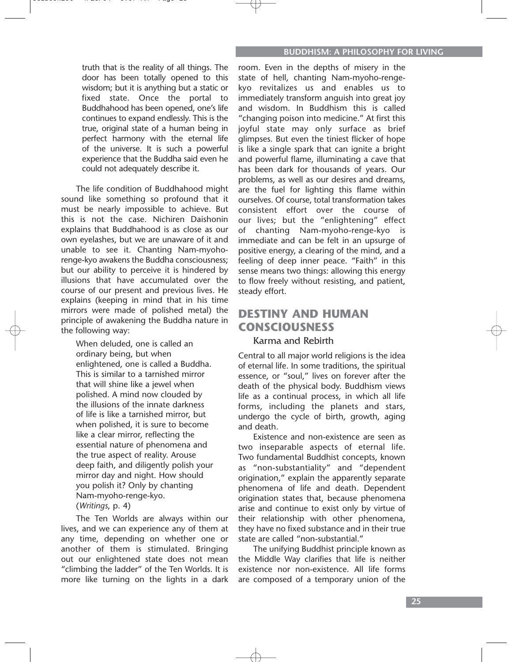truth that is the reality of all things. The door has been totally opened to this wisdom; but it is anything but a static or fixed state. Once the portal to Buddhahood has been opened, one's life continues to expand endlessly. This is the true, original state of a human being in perfect harmony with the eternal life of the universe. It is such a powerful experience that the Buddha said even he could not adequately describe it.

The life condition of Buddhahood might sound like something so profound that it must be nearly impossible to achieve. But this is not the case. Nichiren Daishonin explains that Buddhahood is as close as our own eyelashes, but we are unaware of it and unable to see it. Chanting Nam-myohorenge-kyo awakens the Buddha consciousness; but our ability to perceive it is hindered by illusions that have accumulated over the course of our present and previous lives. He explains (keeping in mind that in his time mirrors were made of polished metal) the principle of awakening the Buddha nature in the following way:

When deluded, one is called an ordinary being, but when enlightened, one is called a Buddha. This is similar to a tarnished mirror that will shine like a jewel when polished. A mind now clouded by the illusions of the innate darkness of life is like a tarnished mirror, but when polished, it is sure to become like a clear mirror, reflecting the essential nature of phenomena and the true aspect of reality. Arouse deep faith, and diligently polish your mirror day and night. How should you polish it? Only by chanting Nam-myoho-renge-kyo. (*Writings*, p. 4)

The Ten Worlds are always within our lives, and we can experience any of them at any time, depending on whether one or another of them is stimulated. Bringing out our enlightened state does not mean "climbing the ladder" of the Ten Worlds. It is more like turning on the lights in a dark

room. Even in the depths of misery in the state of hell, chanting Nam-myoho-rengekyo revitalizes us and enables us to immediately transform anguish into great joy and wisdom. In Buddhism this is called "changing poison into medicine." At first this joyful state may only surface as brief glimpses. But even the tiniest flicker of hope is like a single spark that can ignite a bright and powerful flame, illuminating a cave that has been dark for thousands of years. Our problems, as well as our desires and dreams, are the fuel for lighting this flame within ourselves. Of course, total transformation takes consistent effort over the course of our lives; but the "enlightening" effect of chanting Nam-myoho-renge-kyo is immediate and can be felt in an upsurge of positive energy, a clearing of the mind, and a feeling of deep inner peace. "Faith" in this sense means two things: allowing this energy to flow freely without resisting, and patient, steady effort.

# **DESTINY AND HUMAN CONSCIOUSNESS**

### Karma and Rebirth

Central to all major world religions is the idea of eternal life. In some traditions, the spiritual essence, or "soul," lives on forever after the death of the physical body. Buddhism views life as a continual process, in which all life forms, including the planets and stars, undergo the cycle of birth, growth, aging and death.

Existence and non-existence are seen as two inseparable aspects of eternal life. Two fundamental Buddhist concepts, known as "non-substantiality" and "dependent origination," explain the apparently separate phenomena of life and death. Dependent origination states that, because phenomena arise and continue to exist only by virtue of their relationship with other phenomena, they have no fixed substance and in their true state are called "non-substantial."

The unifying Buddhist principle known as the Middle Way clarifies that life is neither existence nor non-existence. All life forms are composed of a temporary union of the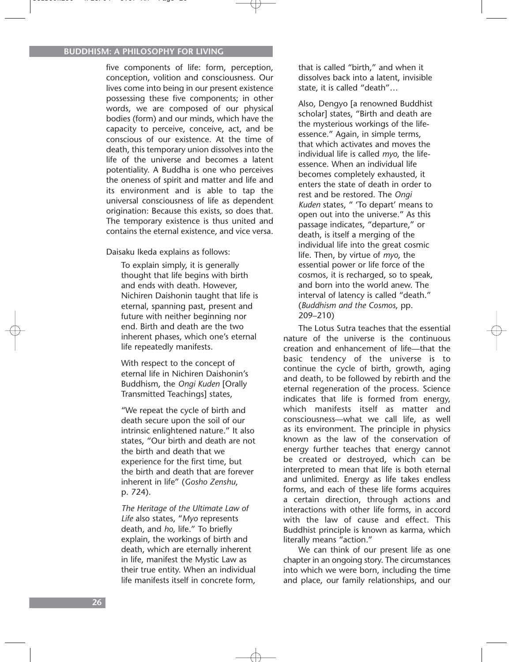five components of life: form, perception, conception, volition and consciousness. Our lives come into being in our present existence possessing these five components; in other words, we are composed of our physical bodies (form) and our minds, which have the capacity to perceive, conceive, act, and be conscious of our existence. At the time of death, this temporary union dissolves into the life of the universe and becomes a latent potentiality. A Buddha is one who perceives the oneness of spirit and matter and life and its environment and is able to tap the universal consciousness of life as dependent origination: Because this exists, so does that. The temporary existence is thus united and contains the eternal existence, and vice versa.

Daisaku Ikeda explains as follows:

To explain simply, it is generally thought that life begins with birth and ends with death. However, Nichiren Daishonin taught that life is eternal, spanning past, present and future with neither beginning nor end. Birth and death are the two inherent phases, which one's eternal life repeatedly manifests.

With respect to the concept of eternal life in Nichiren Daishonin's Buddhism, the *Ongi Kuden* [Orally Transmitted Teachings] states,

"We repeat the cycle of birth and death secure upon the soil of our intrinsic enlightened nature." It also states, "Our birth and death are not the birth and death that we experience for the first time, but the birth and death that are forever inherent in life" (*Gosho Zenshu*, p. 724).

*The Heritage of the Ultimate Law of Life* also states, "*Myo* represents death, and *ho*, life." To briefly explain, the workings of birth and death, which are eternally inherent in life, manifest the Mystic Law as their true entity. When an individual life manifests itself in concrete form,

that is called "birth," and when it dissolves back into a latent, invisible state, it is called "death"…

Also, Dengyo [a renowned Buddhist scholar] states, "Birth and death are the mysterious workings of the lifeessence." Again, in simple terms, that which activates and moves the individual life is called *myo*, the lifeessence. When an individual life becomes completely exhausted, it enters the state of death in order to rest and be restored. The *Ongi Kuden* states, " 'To depart' means to open out into the universe." As this passage indicates, "departure," or death, is itself a merging of the individual life into the great cosmic life. Then, by virtue of *myo*, the essential power or life force of the cosmos, it is recharged, so to speak, and born into the world anew. The interval of latency is called "death." (*Buddhism and the Cosmos*, pp. 209–210)

The Lotus Sutra teaches that the essential nature of the universe is the continuous creation and enhancement of life—that the basic tendency of the universe is to continue the cycle of birth, growth, aging and death, to be followed by rebirth and the eternal regeneration of the process. Science indicates that life is formed from energy, which manifests itself as matter and consciousness—what we call life, as well as its environment. The principle in physics known as the law of the conservation of energy further teaches that energy cannot be created or destroyed, which can be interpreted to mean that life is both eternal and unlimited. Energy as life takes endless forms, and each of these life forms acquires a certain direction, through actions and interactions with other life forms, in accord with the law of cause and effect. This Buddhist principle is known as karma, which literally means "action."

We can think of our present life as one chapter in an ongoing story. The circumstances into which we were born, including the time and place, our family relationships, and our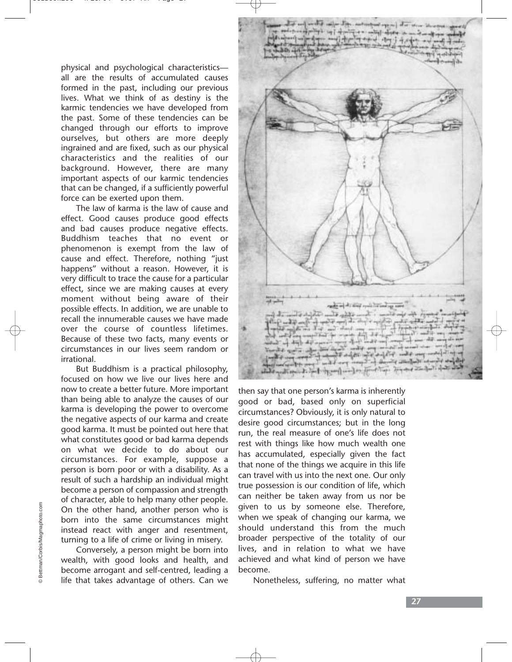physical and psychological characteristics all are the results of accumulated causes formed in the past, including our previous lives. What we think of as destiny is the karmic tendencies we have developed from the past. Some of these tendencies can be changed through our efforts to improve ourselves, but others are more deeply ingrained and are fixed, such as our physical characteristics and the realities of our background. However, there are many important aspects of our karmic tendencies that can be changed, if a sufficiently powerful force can be exerted upon them.

The law of karma is the law of cause and effect. Good causes produce good effects and bad causes produce negative effects. Buddhism teaches that no event or phenomenon is exempt from the law of cause and effect. Therefore, nothing "just happens" without a reason. However, it is very difficult to trace the cause for a particular effect, since we are making causes at every moment without being aware of their possible effects. In addition, we are unable to recall the innumerable causes we have made over the course of countless lifetimes. Because of these two facts, many events or circumstances in our lives seem random or irrational.

But Buddhism is a practical philosophy, focused on how we live our lives here and now to create a better future. More important than being able to analyze the causes of our karma is developing the power to overcome the negative aspects of our karma and create good karma. It must be pointed out here that what constitutes good or bad karma depends on what we decide to do about our circumstances. For example, suppose a person is born poor or with a disability. As a result of such a hardship an individual might become a person of compassion and strength of character, able to help many other people. On the other hand, another person who is born into the same circumstances might instead react with anger and resentment, turning to a life of crime or living in misery.

Conversely, a person might be born into wealth, with good looks and health, and become arrogant and self-centred, leading a life that takes advantage of others. Can we



then say that one person's karma is inherently good or bad, based only on superficial circumstances? Obviously, it is only natural to desire good circumstances; but in the long run, the real measure of one's life does not rest with things like how much wealth one has accumulated, especially given the fact that none of the things we acquire in this life can travel with us into the next one. Our only true possession is our condition of life, which can neither be taken away from us nor be given to us by someone else. Therefore, when we speak of changing our karma, we should understand this from the much broader perspective of the totality of our lives, and in relation to what we have achieved and what kind of person we have become.

Nonetheless, suffering, no matter what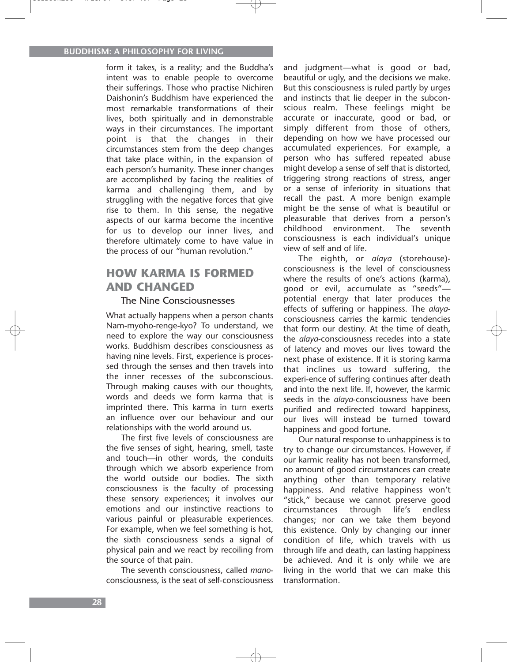form it takes, is a reality; and the Buddha's intent was to enable people to overcome their sufferings. Those who practise Nichiren Daishonin's Buddhism have experienced the most remarkable transformations of their lives, both spiritually and in demonstrable ways in their circumstances. The important point is that the changes in their circumstances stem from the deep changes that take place within, in the expansion of each person's humanity. These inner changes are accomplished by facing the realities of karma and challenging them, and by struggling with the negative forces that give rise to them. In this sense, the negative aspects of our karma become the incentive for us to develop our inner lives, and therefore ultimately come to have value in the process of our "human revolution."

### **HOW KARMA IS FORMED AND CHANGED**

#### The Nine Consciousnesses

What actually happens when a person chants Nam-myoho-renge-kyo? To understand, we need to explore the way our consciousness works. Buddhism describes consciousness as having nine levels. First, experience is processed through the senses and then travels into the inner recesses of the subconscious. Through making causes with our thoughts, words and deeds we form karma that is imprinted there. This karma in turn exerts an influence over our behaviour and our relationships with the world around us.

The first five levels of consciousness are the five senses of sight, hearing, smell, taste and touch—in other words, the conduits through which we absorb experience from the world outside our bodies. The sixth consciousness is the faculty of processing these sensory experiences; it involves our emotions and our instinctive reactions to various painful or pleasurable experiences. For example, when we feel something is hot, the sixth consciousness sends a signal of physical pain and we react by recoiling from the source of that pain.

The seventh consciousness, called *mano*consciousness, is the seat of self-consciousness

and judgment—what is good or bad, beautiful or ugly, and the decisions we make. But this consciousness is ruled partly by urges and instincts that lie deeper in the subconscious realm. These feelings might be accurate or inaccurate, good or bad, or simply different from those of others, depending on how we have processed our accumulated experiences. For example, a person who has suffered repeated abuse might develop a sense of self that is distorted, triggering strong reactions of stress, anger or a sense of inferiority in situations that recall the past. A more benign example might be the sense of what is beautiful or pleasurable that derives from a person's childhood environment. The seventh consciousness is each individual's unique view of self and of life.

The eighth, or *alaya* (storehouse) consciousness is the level of consciousness where the results of one's actions (karma), good or evil, accumulate as "seeds" potential energy that later produces the effects of suffering or happiness. The *alaya*consciousness carries the karmic tendencies that form our destiny. At the time of death, the *alaya*-consciousness recedes into a state of latency and moves our lives toward the next phase of existence. If it is storing karma that inclines us toward suffering, the experi-ence of suffering continues after death and into the next life. If, however, the karmic seeds in the *alaya*-consciousness have been purified and redirected toward happiness, our lives will instead be turned toward happiness and good fortune.

Our natural response to unhappiness is to try to change our circumstances. However, if our karmic reality has not been transformed, no amount of good circumstances can create anything other than temporary relative happiness. And relative happiness won't "stick," because we cannot preserve good circumstances through life's endless changes; nor can we take them beyond this existence. Only by changing our inner condition of life, which travels with us through life and death, can lasting happiness be achieved. And it is only while we are living in the world that we can make this transformation.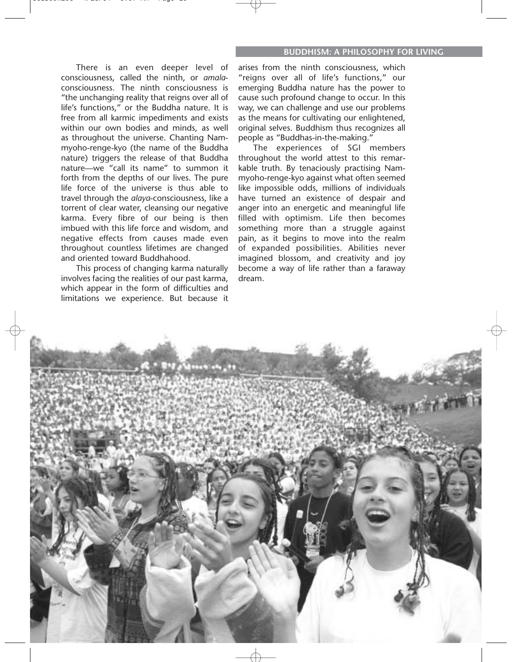There is an even deeper level of consciousness, called the ninth, or *amala*consciousness. The ninth consciousness is "the unchanging reality that reigns over all of life's functions," or the Buddha nature. It is free from all karmic impediments and exists within our own bodies and minds, as well as throughout the universe. Chanting Nammyoho-renge-kyo (the name of the Buddha nature) triggers the release of that Buddha nature—we "call its name" to summon it forth from the depths of our lives. The pure life force of the universe is thus able to travel through the *alaya*-consciousness, like a torrent of clear water, cleansing our negative karma. Every fibre of our being is then imbued with this life force and wisdom, and negative effects from causes made even throughout countless lifetimes are changed and oriented toward Buddhahood.

This process of changing karma naturally involves facing the realities of our past karma, which appear in the form of difficulties and limitations we experience. But because it

arises from the ninth consciousness, which "reigns over all of life's functions," our emerging Buddha nature has the power to cause such profound change to occur. In this way, we can challenge and use our problems as the means for cultivating our enlightened, original selves. Buddhism thus recognizes all people as "Buddhas-in-the-making."

The experiences of SGI members throughout the world attest to this remarkable truth. By tenaciously practising Nammyoho-renge-kyo against what often seemed like impossible odds, millions of individuals have turned an existence of despair and anger into an energetic and meaningful life filled with optimism. Life then becomes something more than a struggle against pain, as it begins to move into the realm of expanded possibilities. Abilities never imagined blossom, and creativity and joy become a way of life rather than a faraway dream.

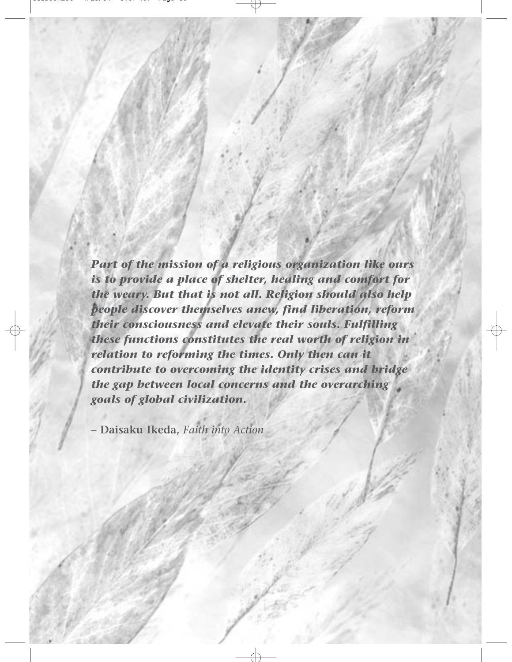*Part of the mission of a religious organization like ours is to provide a place of shelter, healing and comfort for the weary. But that is not all. Religion should also help people discover themselves anew, find liberation, reform their consciousness and elevate their souls. Fulfilling these functions constitutes the real worth of religion in relation to reforming the times. Only then can it contribute to overcoming the identity crises and bridge the gap between local concerns and the overarching goals of global civilization.*

**– Daisaku Ikeda,** *Faith into Action*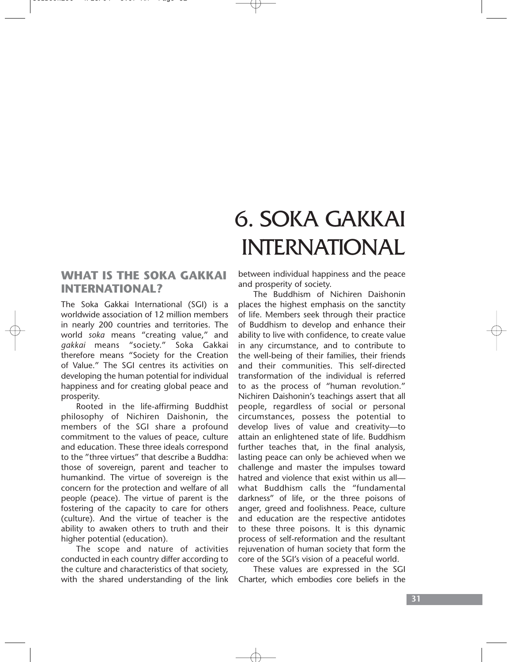# 6. SOKA GAKKAI INTERNATIONAL

### **WHAT IS THE SOKA GAKKAI INTERNATIONAL?**

The Soka Gakkai International (SGI) is a worldwide association of 12 million members in nearly 200 countries and territories. The world *soka* means "creating value," and *gakkai* means "society." Soka Gakkai therefore means "Society for the Creation of Value." The SGI centres its activities on developing the human potential for individual happiness and for creating global peace and prosperity.

Rooted in the life-affirming Buddhist philosophy of Nichiren Daishonin, the members of the SGI share a profound commitment to the values of peace, culture and education. These three ideals correspond to the "three virtues" that describe a Buddha: those of sovereign, parent and teacher to humankind. The virtue of sovereign is the concern for the protection and welfare of all people (peace). The virtue of parent is the fostering of the capacity to care for others (culture). And the virtue of teacher is the ability to awaken others to truth and their higher potential (education).

The scope and nature of activities conducted in each country differ according to the culture and characteristics of that society, with the shared understanding of the link

between individual happiness and the peace and prosperity of society.

The Buddhism of Nichiren Daishonin places the highest emphasis on the sanctity of life. Members seek through their practice of Buddhism to develop and enhance their ability to live with confidence, to create value in any circumstance, and to contribute to the well-being of their families, their friends and their communities. This self-directed transformation of the individual is referred to as the process of "human revolution." Nichiren Daishonin's teachings assert that all people, regardless of social or personal circumstances, possess the potential to develop lives of value and creativity—to attain an enlightened state of life. Buddhism further teaches that, in the final analysis, lasting peace can only be achieved when we challenge and master the impulses toward hatred and violence that exist within us all what Buddhism calls the "fundamental darkness" of life, or the three poisons of anger, greed and foolishness. Peace, culture and education are the respective antidotes to these three poisons. It is this dynamic process of self-reformation and the resultant rejuvenation of human society that form the core of the SGI's vision of a peaceful world.

These values are expressed in the SGI Charter, which embodies core beliefs in the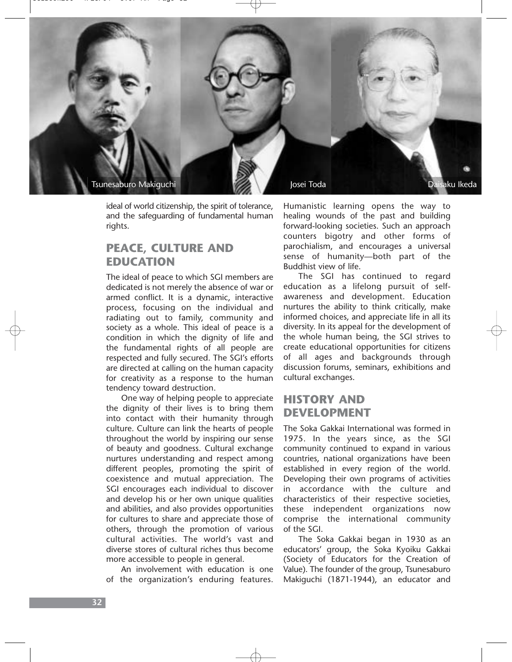

ideal of world citizenship, the spirit of tolerance, and the safeguarding of fundamental human rights.

### **PEACE, CULTURE AND EDUCATION**

The ideal of peace to which SGI members are dedicated is not merely the absence of war or armed conflict. It is a dynamic, interactive process, focusing on the individual and radiating out to family, community and society as a whole. This ideal of peace is a condition in which the dignity of life and the fundamental rights of all people are respected and fully secured. The SGI's efforts are directed at calling on the human capacity for creativity as a response to the human tendency toward destruction.

One way of helping people to appreciate the dignity of their lives is to bring them into contact with their humanity through culture. Culture can link the hearts of people throughout the world by inspiring our sense of beauty and goodness. Cultural exchange nurtures understanding and respect among different peoples, promoting the spirit of coexistence and mutual appreciation. The SGI encourages each individual to discover and develop his or her own unique qualities and abilities, and also provides opportunities for cultures to share and appreciate those of others, through the promotion of various cultural activities. The world's vast and diverse stores of cultural riches thus become more accessible to people in general.

An involvement with education is one of the organization's enduring features.

Humanistic learning opens the way to healing wounds of the past and building forward-looking societies. Such an approach counters bigotry and other forms of parochialism, and encourages a universal sense of humanity—both part of the Buddhist view of life.

The SGI has continued to regard education as a lifelong pursuit of selfawareness and development. Education nurtures the ability to think critically, make informed choices, and appreciate life in all its diversity. In its appeal for the development of the whole human being, the SGI strives to create educational opportunities for citizens of all ages and backgrounds through discussion forums, seminars, exhibitions and cultural exchanges.

### **HISTORY AND DEVELOPMENT**

The Soka Gakkai International was formed in 1975. In the years since, as the SGI community continued to expand in various countries, national organizations have been established in every region of the world. Developing their own programs of activities in accordance with the culture and characteristics of their respective societies, these independent organizations now comprise the international community of the SGI.

The Soka Gakkai began in 1930 as an educators' group, the Soka Kyoiku Gakkai (Society of Educators for the Creation of Value). The founder of the group, Tsunesaburo Makiguchi (1871-1944), an educator and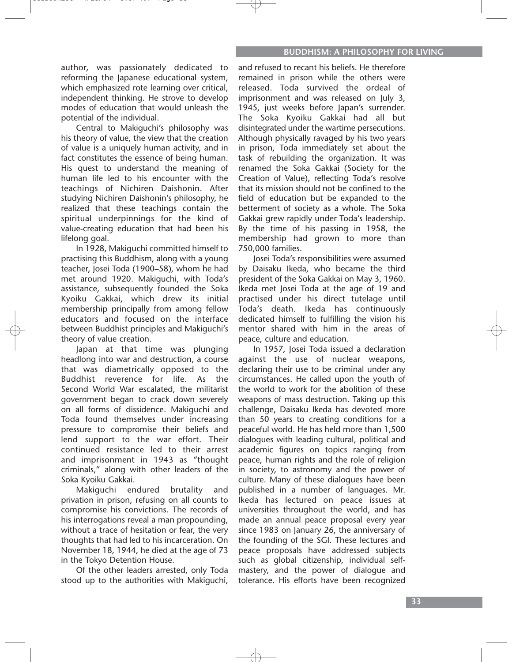author, was passionately dedicated to reforming the Japanese educational system, which emphasized rote learning over critical, independent thinking. He strove to develop modes of education that would unleash the potential of the individual.

Central to Makiguchi's philosophy was his theory of value, the view that the creation of value is a uniquely human activity, and in fact constitutes the essence of being human. His quest to understand the meaning of human life led to his encounter with the teachings of Nichiren Daishonin. After studying Nichiren Daishonin's philosophy, he realized that these teachings contain the spiritual underpinnings for the kind of value-creating education that had been his lifelong goal.

In 1928, Makiguchi committed himself to practising this Buddhism, along with a young teacher, Josei Toda (1900–58), whom he had met around 1920. Makiguchi, with Toda's assistance, subsequently founded the Soka Kyoiku Gakkai, which drew its initial membership principally from among fellow educators and focused on the interface between Buddhist principles and Makiguchi's theory of value creation.

Japan at that time was plunging headlong into war and destruction, a course that was diametrically opposed to the Buddhist reverence for life. As the Second World War escalated, the militarist government began to crack down severely on all forms of dissidence. Makiguchi and Toda found themselves under increasing pressure to compromise their beliefs and lend support to the war effort. Their continued resistance led to their arrest and imprisonment in 1943 as "thought criminals," along with other leaders of the Soka Kyoiku Gakkai.

Makiguchi endured brutality and privation in prison, refusing on all counts to compromise his convictions. The records of his interrogations reveal a man propounding, without a trace of hesitation or fear, the very thoughts that had led to his incarceration. On November 18, 1944, he died at the age of 73 in the Tokyo Detention House.

Of the other leaders arrested, only Toda stood up to the authorities with Makiguchi,

and refused to recant his beliefs. He therefore remained in prison while the others were released. Toda survived the ordeal of imprisonment and was released on July 3, 1945, just weeks before Japan's surrender. The Soka Kyoiku Gakkai had all but disintegrated under the wartime persecutions. Although physically ravaged by his two years in prison, Toda immediately set about the task of rebuilding the organization. It was renamed the Soka Gakkai (Society for the Creation of Value), reflecting Toda's resolve that its mission should not be confined to the field of education but be expanded to the betterment of society as a whole. The Soka Gakkai grew rapidly under Toda's leadership. By the time of his passing in 1958, the membership had grown to more than 750,000 families.

Josei Toda's responsibilities were assumed by Daisaku Ikeda, who became the third president of the Soka Gakkai on May 3, 1960. Ikeda met Josei Toda at the age of 19 and practised under his direct tutelage until Toda's death. Ikeda has continuously dedicated himself to fulfilling the vision his mentor shared with him in the areas of peace, culture and education.

In 1957, Josei Toda issued a declaration against the use of nuclear weapons, declaring their use to be criminal under any circumstances. He called upon the youth of the world to work for the abolition of these weapons of mass destruction. Taking up this challenge, Daisaku Ikeda has devoted more than 50 years to creating conditions for a peaceful world. He has held more than 1,500 dialogues with leading cultural, political and academic figures on topics ranging from peace, human rights and the role of religion in society, to astronomy and the power of culture. Many of these dialogues have been published in a number of languages. Mr. Ikeda has lectured on peace issues at universities throughout the world, and has made an annual peace proposal every year since 1983 on January 26, the anniversary of the founding of the SGI. These lectures and peace proposals have addressed subjects such as global citizenship, individual selfmastery, and the power of dialogue and tolerance. His efforts have been recognized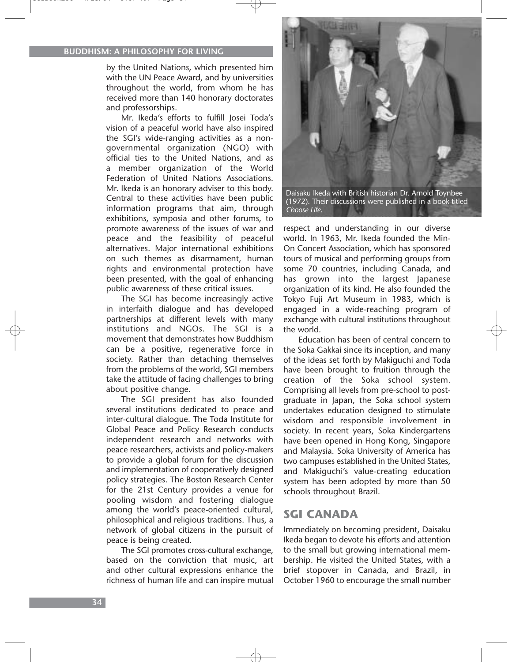by the United Nations, which presented him with the UN Peace Award, and by universities throughout the world, from whom he has received more than 140 honorary doctorates and professorships.

Mr. Ikeda's efforts to fulfill Josei Toda's vision of a peaceful world have also inspired the SGI's wide-ranging activities as a nongovernmental organization (NGO) with official ties to the United Nations, and as a member organization of the World Federation of United Nations Associations. Mr. Ikeda is an honorary adviser to this body. Central to these activities have been public information programs that aim, through exhibitions, symposia and other forums, to promote awareness of the issues of war and peace and the feasibility of peaceful alternatives. Major international exhibitions on such themes as disarmament, human rights and environmental protection have been presented, with the goal of enhancing public awareness of these critical issues.

The SGI has become increasingly active in interfaith dialogue and has developed partnerships at different levels with many institutions and NGOs. The SGI is a movement that demonstrates how Buddhism can be a positive, regenerative force in society. Rather than detaching themselves from the problems of the world, SGI members take the attitude of facing challenges to bring about positive change.

The SGI president has also founded several institutions dedicated to peace and inter-cultural dialogue. The Toda Institute for Global Peace and Policy Research conducts independent research and networks with peace researchers, activists and policy-makers to provide a global forum for the discussion and implementation of cooperatively designed policy strategies. The Boston Research Center for the 21st Century provides a venue for pooling wisdom and fostering dialogue among the world's peace-oriented cultural, philosophical and religious traditions. Thus, a network of global citizens in the pursuit of peace is being created.

The SGI promotes cross-cultural exchange, based on the conviction that music, art and other cultural expressions enhance the richness of human life and can inspire mutual



(1972). Their discussions were published in a book titled *Choose Life*.

respect and understanding in our diverse world. In 1963, Mr. Ikeda founded the Min-On Concert Association, which has sponsored tours of musical and performing groups from some 70 countries, including Canada, and has grown into the largest Japanese organization of its kind. He also founded the Tokyo Fuji Art Museum in 1983, which is engaged in a wide-reaching program of exchange with cultural institutions throughout the world.

Education has been of central concern to the Soka Gakkai since its inception, and many of the ideas set forth by Makiguchi and Toda have been brought to fruition through the creation of the Soka school system. Comprising all levels from pre-school to postgraduate in Japan, the Soka school system undertakes education designed to stimulate wisdom and responsible involvement in society. In recent years, Soka Kindergartens have been opened in Hong Kong, Singapore and Malaysia. Soka University of America has two campuses established in the United States, and Makiguchi's value-creating education system has been adopted by more than 50 schools throughout Brazil.

### **SGI CANADA**

Immediately on becoming president, Daisaku Ikeda began to devote his efforts and attention to the small but growing international membership. He visited the United States, with a brief stopover in Canada, and Brazil, in October 1960 to encourage the small number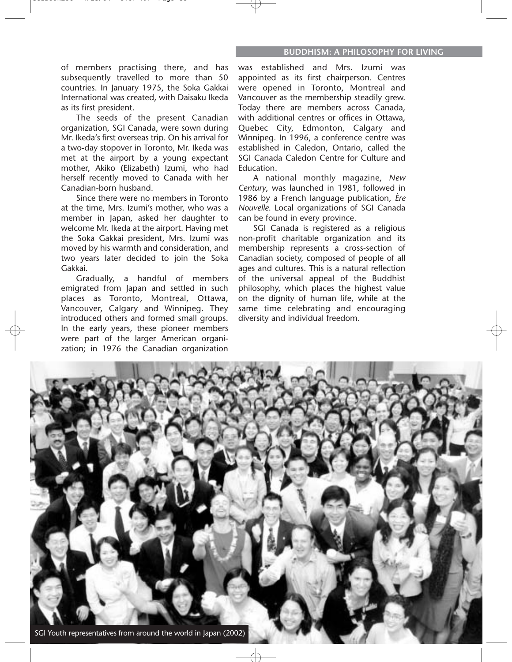of members practising there, and has subsequently travelled to more than 50 countries. In January 1975, the Soka Gakkai International was created, with Daisaku Ikeda as its first president.

The seeds of the present Canadian organization, SGI Canada, were sown during Mr. Ikeda's first overseas trip. On his arrival for a two-day stopover in Toronto, Mr. Ikeda was met at the airport by a young expectant mother, Akiko (Elizabeth) Izumi, who had herself recently moved to Canada with her Canadian-born husband.

Since there were no members in Toronto at the time, Mrs. Izumi's mother, who was a member in Japan, asked her daughter to welcome Mr. Ikeda at the airport. Having met the Soka Gakkai president, Mrs. Izumi was moved by his warmth and consideration, and two years later decided to join the Soka Gakkai.

Gradually, a handful of members emigrated from Japan and settled in such places as Toronto, Montreal, Ottawa, Vancouver, Calgary and Winnipeg. They introduced others and formed small groups. In the early years, these pioneer members were part of the larger American organization; in 1976 the Canadian organization

was established and Mrs. Izumi was appointed as its first chairperson. Centres were opened in Toronto, Montreal and Vancouver as the membership steadily grew. Today there are members across Canada, with additional centres or offices in Ottawa, Quebec City, Edmonton, Calgary and Winnipeg. In 1996, a conference centre was established in Caledon, Ontario, called the SGI Canada Caledon Centre for Culture and Education.

A national monthly magazine, *New Century*, was launched in 1981, followed in 1986 by a French language publication, *Ère Nouvelle*. Local organizations of SGI Canada can be found in every province.

SGI Canada is registered as a religious non-profit charitable organization and its membership represents a cross-section of Canadian society, composed of people of all ages and cultures. This is a natural reflection of the universal appeal of the Buddhist philosophy, which places the highest value on the dignity of human life, while at the same time celebrating and encouraging diversity and individual freedom.

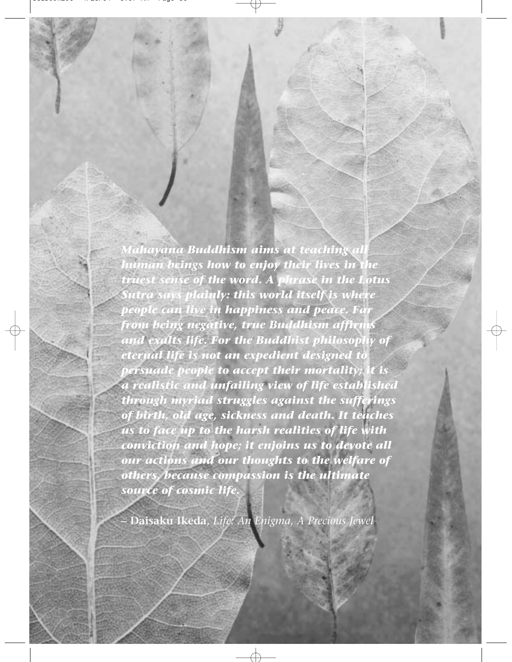*Mahayana Buddhism aims at teaching all human beings how to enjoy their lives in the truest sense of the word. A phrase in the Lotus Sutra says plainly: this world itself is where people can live in happiness and peace. Far from being negative, true Buddhism affirms and exalts life. For the Buddhist philosophy of eternal life is not an expedient designed to persuade people to accept their mortality; it is a realistic and unfailing view of life established through myriad struggles against the sufferings of birth, old age, sickness and death. It teaches us to face up to the harsh realities of life with conviction and hope; it enjoins us to devote all our actions and our thoughts to the welfare of others, because compassion is the ultimate source of cosmic life.*

**– Daisaku Ikeda,** *Life: An Enigma, A Precious Jewel*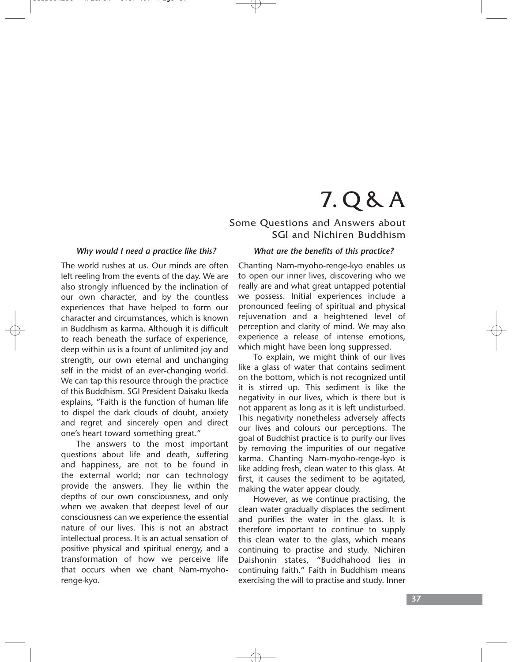# 7. Q & A

### Some Questions and Answers about SGI and Nichiren Buddhism

#### *Why would I need a practice like this?*

The world rushes at us. Our minds are often left reeling from the events of the day. We are also strongly influenced by the inclination of our own character, and by the countless experiences that have helped to form our character and circumstances, which is known in Buddhism as karma. Although it is difficult to reach beneath the surface of experience, deep within us is a fount of unlimited joy and strength, our own eternal and unchanging self in the midst of an ever-changing world. We can tap this resource through the practice of this Buddhism. SGI President Daisaku Ikeda explains, "Faith is the function of human life to dispel the dark clouds of doubt, anxiety and regret and sincerely open and direct one's heart toward something great."

The answers to the most important questions about life and death, suffering and happiness, are not to be found in the external world; nor can technology provide the answers. They lie within the depths of our own consciousness, and only when we awaken that deepest level of our consciousness can we experience the essential nature of our lives. This is not an abstract intellectual process. It is an actual sensation of positive physical and spiritual energy, and a transformation of how we perceive life that occurs when we chant Nam-myohorenge-kyo.

#### *What are the benefits of this practice?*

Chanting Nam-myoho-renge-kyo enables us to open our inner lives, discovering who we really are and what great untapped potential we possess. Initial experiences include a pronounced feeling of spiritual and physical rejuvenation and a heightened level of perception and clarity of mind. We may also experience a release of intense emotions, which might have been long suppressed.

To explain, we might think of our lives like a glass of water that contains sediment on the bottom, which is not recognized until it is stirred up. This sediment is like the negativity in our lives, which is there but is not apparent as long as it is left undisturbed. This negativity nonetheless adversely affects our lives and colours our perceptions. The goal of Buddhist practice is to purify our lives by removing the impurities of our negative karma. Chanting Nam-myoho-renge-kyo is like adding fresh, clean water to this glass. At first, it causes the sediment to be agitated, making the water appear cloudy.

However, as we continue practising, the clean water gradually displaces the sediment and purifies the water in the glass. It is therefore important to continue to supply this clean water to the glass, which means continuing to practise and study. Nichiren Daishonin states, "Buddhahood lies in continuing faith." Faith in Buddhism means exercising the will to practise and study. Inner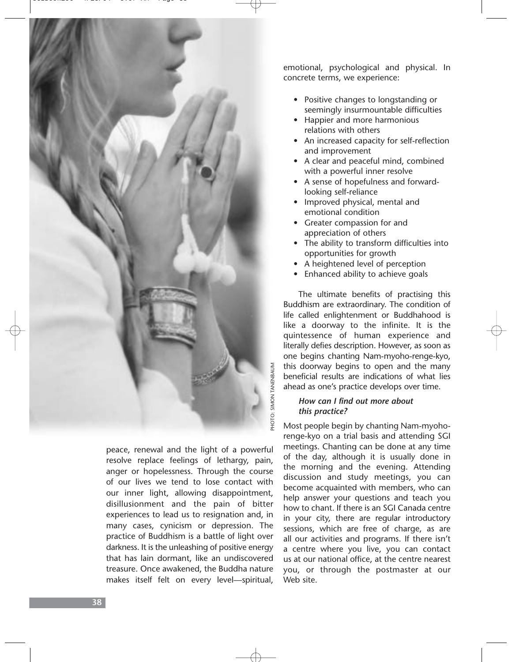

peace, renewal and the light of a powerful resolve replace feelings of lethargy, pain, anger or hopelessness. Through the course of our lives we tend to lose contact with our inner light, allowing disappointment, disillusionment and the pain of bitter experiences to lead us to resignation and, in many cases, cynicism or depression. The practice of Buddhism is a battle of light over darkness. It is the unleashing of positive energy that has lain dormant, like an undiscovered treasure. Once awakened, the Buddha nature makes itself felt on every level—spiritual,

emotional, psychological and physical. In concrete terms, we experience:

- Positive changes to longstanding or seemingly insurmountable difficulties
- Happier and more harmonious relations with others
- An increased capacity for self-reflection and improvement
- A clear and peaceful mind, combined with a powerful inner resolve
- A sense of hopefulness and forwardlooking self-reliance
- Improved physical, mental and emotional condition
- Greater compassion for and appreciation of others
- The ability to transform difficulties into opportunities for growth
- A heightened level of perception
- Enhanced ability to achieve goals

The ultimate benefits of practising this Buddhism are extraordinary. The condition of life called enlightenment or Buddhahood is like a doorway to the infinite. It is the quintessence of human experience and literally defies description. However, as soon as one begins chanting Nam-myoho-renge-kyo, this doorway begins to open and the many beneficial results are indications of what lies ahead as one's practice develops over time.

### *How can I find out more about this practice?*

Most people begin by chanting Nam-myohorenge-kyo on a trial basis and attending SGI meetings. Chanting can be done at any time of the day, although it is usually done in the morning and the evening. Attending discussion and study meetings, you can become acquainted with members, who can help answer your questions and teach you how to chant. If there is an SGI Canada centre in your city, there are regular introductory sessions, which are free of charge, as are all our activities and programs. If there isn't a centre where you live, you can contact us at our national office, at the centre nearest you, or through the postmaster at our Web site.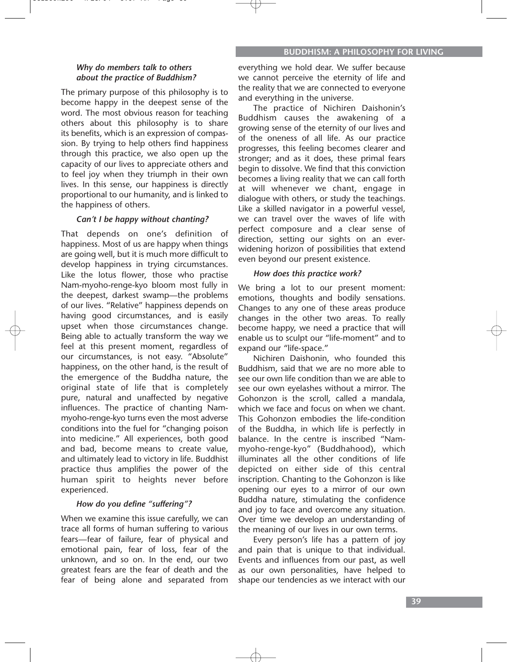### *Why do members talk to others about the practice of Buddhism?*

The primary purpose of this philosophy is to become happy in the deepest sense of the word. The most obvious reason for teaching others about this philosophy is to share its benefits, which is an expression of compassion. By trying to help others find happiness through this practice, we also open up the capacity of our lives to appreciate others and to feel joy when they triumph in their own lives. In this sense, our happiness is directly proportional to our humanity, and is linked to the happiness of others.

### *Can't I be happy without chanting?*

That depends on one's definition of happiness. Most of us are happy when things are going well, but it is much more difficult to develop happiness in trying circumstances. Like the lotus flower, those who practise Nam-myoho-renge-kyo bloom most fully in the deepest, darkest swamp—the problems of our lives. "Relative" happiness depends on having good circumstances, and is easily upset when those circumstances change. Being able to actually transform the way we feel at this present moment, regardless of our circumstances, is not easy. "Absolute" happiness, on the other hand, is the result of the emergence of the Buddha nature, the original state of life that is completely pure, natural and unaffected by negative influences. The practice of chanting Nammyoho-renge-kyo turns even the most adverse conditions into the fuel for "changing poison into medicine." All experiences, both good and bad, become means to create value, and ultimately lead to victory in life. Buddhist practice thus amplifies the power of the human spirit to heights never before experienced.

### *How do you define "suffering"?*

When we examine this issue carefully, we can trace all forms of human suffering to various fears—fear of failure, fear of physical and emotional pain, fear of loss, fear of the unknown, and so on. In the end, our two greatest fears are the fear of death and the fear of being alone and separated from

everything we hold dear. We suffer because we cannot perceive the eternity of life and the reality that we are connected to everyone and everything in the universe.

The practice of Nichiren Daishonin's Buddhism causes the awakening of a growing sense of the eternity of our lives and of the oneness of all life. As our practice progresses, this feeling becomes clearer and stronger; and as it does, these primal fears begin to dissolve. We find that this conviction becomes a living reality that we can call forth at will whenever we chant, engage in dialogue with others, or study the teachings. Like a skilled navigator in a powerful vessel, we can travel over the waves of life with perfect composure and a clear sense of direction, setting our sights on an everwidening horizon of possibilities that extend even beyond our present existence.

### *How does this practice work?*

We bring a lot to our present moment: emotions, thoughts and bodily sensations. Changes to any one of these areas produce changes in the other two areas. To really become happy, we need a practice that will enable us to sculpt our "life-moment" and to expand our "life-space."

Nichiren Daishonin, who founded this Buddhism, said that we are no more able to see our own life condition than we are able to see our own eyelashes without a mirror. The Gohonzon is the scroll, called a mandala, which we face and focus on when we chant. This Gohonzon embodies the life-condition of the Buddha, in which life is perfectly in balance. In the centre is inscribed "Nammyoho-renge-kyo" (Buddhahood), which illuminates all the other conditions of life depicted on either side of this central inscription. Chanting to the Gohonzon is like opening our eyes to a mirror of our own Buddha nature, stimulating the confidence and joy to face and overcome any situation. Over time we develop an understanding of the meaning of our lives in our own terms.

Every person's life has a pattern of joy and pain that is unique to that individual. Events and influences from our past, as well as our own personalities, have helped to shape our tendencies as we interact with our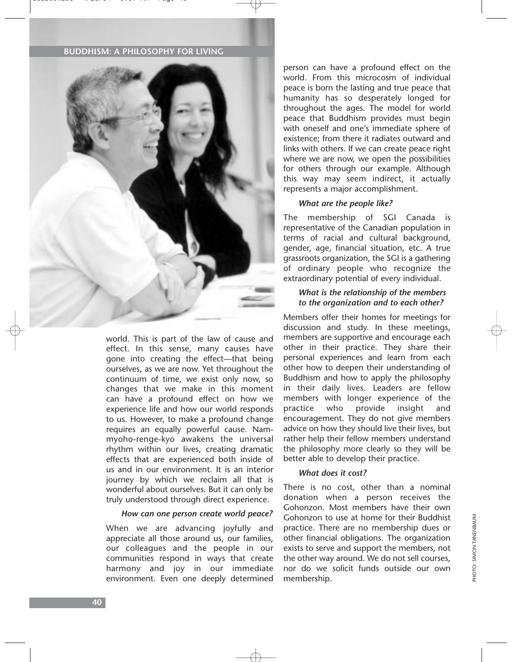#### **BUDDHISM: A PHILOSOPHY FOR LIVING**



world. This is part of the law of cause and effect. In this sense, many causes have gone into creating the effect—that being ourselves, as we are now. Yet throughout the continuum of time, we exist only now, so changes that we make in this moment can have a profound effect on how we experience life and how our world responds to us. However, to make a profound change requires an equally powerful cause. Nammyoho-renge-kyo awakens the universal rhythm within our lives, creating dramatic effects that are experienced both inside of us and in our environment. It is an interior journey by which we reclaim all that is wonderful about ourselves. But it can only be truly understood through direct experience.

#### *How can one person create world peace?*

When we are advancing joyfully and appreciate all those around us, our families, our colleagues and the people in our communities respond in ways that create harmony and joy in our immediate environment. Even one deeply determined

person can have a profound effect on the world. From this microcosm of individual peace is born the lasting and true peace that humanity has so desperately longed for throughout the ages. The model for world peace that Buddhism provides must begin with oneself and one's immediate sphere of existence; from there it radiates outward and links with others. If we can create peace right where we are now, we open the possibilities for others through our example. Although this way may seem indirect, it actually represents a major accomplishment.

#### *What are the people like?*

The membership of SGI Canada is representative of the Canadian population in terms of racial and cultural background, gender, age, financial situation, etc. A true grassroots organization, the SGI is a gathering of ordinary people who recognize the extraordinary potential of every individual.

#### *What is the relationship of the members to the organization and to each other?*

Members offer their homes for meetings for discussion and study. In these meetings, members are supportive and encourage each other in their practice. They share their personal experiences and learn from each other how to deepen their understanding of Buddhism and how to apply the philosophy in their daily lives. Leaders are fellow members with longer experience of the practice who provide insight and encouragement. They do not give members advice on how they should live their lives, but rather help their fellow members understand the philosophy more clearly so they will be better able to develop their practice.

### *What does it cost?*

There is no cost, other than a nominal donation when a person receives the Gohonzon. Most members have their own Gohonzon to use at home for their Buddhist practice. There are no membership dues or other financial obligations. The organization exists to serve and support the members, not the other way around. We do not sell courses, nor do we solicit funds outside our own membership.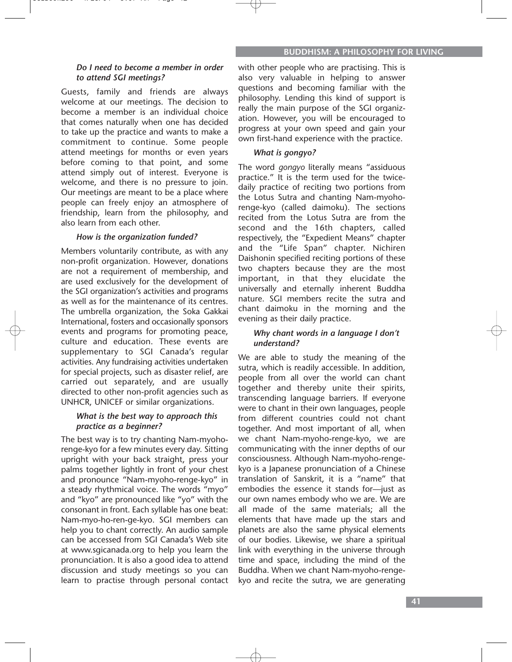### *Do I need to become a member in order to attend SGI meetings?*

Guests, family and friends are always welcome at our meetings. The decision to become a member is an individual choice that comes naturally when one has decided to take up the practice and wants to make a commitment to continue. Some people attend meetings for months or even years before coming to that point, and some attend simply out of interest. Everyone is welcome, and there is no pressure to join. Our meetings are meant to be a place where people can freely enjoy an atmosphere of friendship, learn from the philosophy, and also learn from each other.

### *How is the organization funded?*

Members voluntarily contribute, as with any non-profit organization. However, donations are not a requirement of membership, and are used exclusively for the development of the SGI organization's activities and programs as well as for the maintenance of its centres. The umbrella organization, the Soka Gakkai International, fosters and occasionally sponsors events and programs for promoting peace, culture and education. These events are supplementary to SGI Canada's regular activities. Any fundraising activities undertaken for special projects, such as disaster relief, are carried out separately, and are usually directed to other non-profit agencies such as UNHCR, UNICEF or similar organizations.

#### *What is the best way to approach this practice as a beginner?*

The best way is to try chanting Nam-myohorenge-kyo for a few minutes every day. Sitting upright with your back straight, press your palms together lightly in front of your chest and pronounce "Nam-myoho-renge-kyo" in a steady rhythmical voice. The words "myo" and "kyo" are pronounced like "yo" with the consonant in front. Each syllable has one beat: Nam-myo-ho-ren-ge-kyo. SGI members can help you to chant correctly. An audio sample can be accessed from SGI Canada's Web site at www.sgicanada.org to help you learn the pronunciation. It is also a good idea to attend discussion and study meetings so you can learn to practise through personal contact

with other people who are practising. This is also very valuable in helping to answer questions and becoming familiar with the philosophy. Lending this kind of support is really the main purpose of the SGI organization. However, you will be encouraged to progress at your own speed and gain your own first-hand experience with the practice.

### *What is gongyo?*

The word *gongyo* literally means "assiduous practice." It is the term used for the twicedaily practice of reciting two portions from the Lotus Sutra and chanting Nam-myohorenge-kyo (called daimoku). The sections recited from the Lotus Sutra are from the second and the 16th chapters, called respectively, the "Expedient Means" chapter and the "Life Span" chapter. Nichiren Daishonin specified reciting portions of these two chapters because they are the most important, in that they elucidate the universally and eternally inherent Buddha nature. SGI members recite the sutra and chant daimoku in the morning and the evening as their daily practice.

### *Why chant words in a language I don't understand?*

We are able to study the meaning of the sutra, which is readily accessible. In addition, people from all over the world can chant together and thereby unite their spirits, transcending language barriers. If everyone were to chant in their own languages, people from different countries could not chant together. And most important of all, when we chant Nam-myoho-renge-kyo, we are communicating with the inner depths of our consciousness. Although Nam-myoho-rengekyo is a Japanese pronunciation of a Chinese translation of Sanskrit, it is a "name" that embodies the essence it stands for—just as our own names embody who we are. We are all made of the same materials; all the elements that have made up the stars and planets are also the same physical elements of our bodies. Likewise, we share a spiritual link with everything in the universe through time and space, including the mind of the Buddha. When we chant Nam-myoho-rengekyo and recite the sutra, we are generating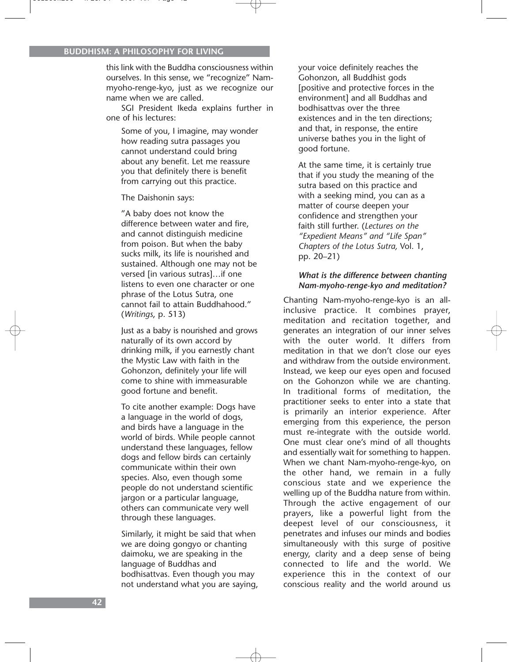this link with the Buddha consciousness within ourselves. In this sense, we "recognize" Nammyoho-renge-kyo, just as we recognize our name when we are called.

SGI President Ikeda explains further in one of his lectures:

Some of you, I imagine, may wonder how reading sutra passages you cannot understand could bring about any benefit. Let me reassure you that definitely there is benefit from carrying out this practice.

The Daishonin says:

"A baby does not know the difference between water and fire, and cannot distinguish medicine from poison. But when the baby sucks milk, its life is nourished and sustained. Although one may not be versed [in various sutras]…if one listens to even one character or one phrase of the Lotus Sutra, one cannot fail to attain Buddhahood." (*Writings*, p. 513)

Just as a baby is nourished and grows naturally of its own accord by drinking milk, if you earnestly chant the Mystic Law with faith in the Gohonzon, definitely your life will come to shine with immeasurable good fortune and benefit.

To cite another example: Dogs have a language in the world of dogs, and birds have a language in the world of birds. While people cannot understand these languages, fellow dogs and fellow birds can certainly communicate within their own species. Also, even though some people do not understand scientific jargon or a particular language, others can communicate very well through these languages.

Similarly, it might be said that when we are doing gongyo or chanting daimoku, we are speaking in the language of Buddhas and bodhisattvas. Even though you may not understand what you are saying, your voice definitely reaches the Gohonzon, all Buddhist gods [positive and protective forces in the environment] and all Buddhas and bodhisattvas over the three existences and in the ten directions; and that, in response, the entire universe bathes you in the light of good fortune.

At the same time, it is certainly true that if you study the meaning of the sutra based on this practice and with a seeking mind, you can as a matter of course deepen your confidence and strengthen your faith still further. (*Lectures on the "Expedient Means" and "Life Span" Chapters of the Lotus Sutra,* Vol. 1, pp. 20–21)

#### *What is the difference between chanting Nam-myoho-renge-kyo and meditation?*

Chanting Nam-myoho-renge-kyo is an allinclusive practice. It combines prayer, meditation and recitation together, and generates an integration of our inner selves with the outer world. It differs from meditation in that we don't close our eyes and withdraw from the outside environment. Instead, we keep our eyes open and focused on the Gohonzon while we are chanting. In traditional forms of meditation, the practitioner seeks to enter into a state that is primarily an interior experience. After emerging from this experience, the person must re-integrate with the outside world. One must clear one's mind of all thoughts and essentially wait for something to happen. When we chant Nam-myoho-renge-kyo, on the other hand, we remain in a fully conscious state and we experience the welling up of the Buddha nature from within. Through the active engagement of our prayers, like a powerful light from the deepest level of our consciousness, it penetrates and infuses our minds and bodies simultaneously with this surge of positive energy, clarity and a deep sense of being connected to life and the world. We experience this in the context of our conscious reality and the world around us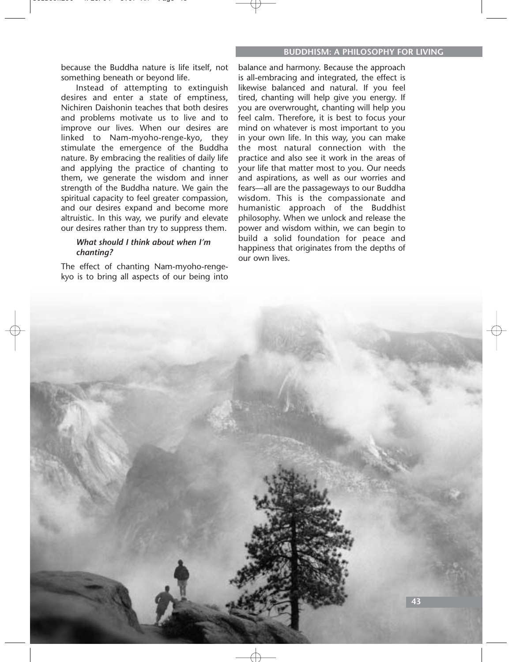because the Buddha nature is life itself, not something beneath or beyond life.

Instead of attempting to extinguish desires and enter a state of emptiness, Nichiren Daishonin teaches that both desires and problems motivate us to live and to improve our lives. When our desires are linked to Nam-myoho-renge-kyo, they stimulate the emergence of the Buddha nature. By embracing the realities of daily life and applying the practice of chanting to them, we generate the wisdom and inner strength of the Buddha nature. We gain the spiritual capacity to feel greater compassion, and our desires expand and become more altruistic. In this way, we purify and elevate our desires rather than try to suppress them.

#### *What should I think about when I'm chanting?*

The effect of chanting Nam-myoho-rengekyo is to bring all aspects of our being into

balance and harmony. Because the approach is all-embracing and integrated, the effect is likewise balanced and natural. If you feel tired, chanting will help give you energy. If you are overwrought, chanting will help you feel calm. Therefore, it is best to focus your mind on whatever is most important to you in your own life. In this way, you can make the most natural connection with the practice and also see it work in the areas of your life that matter most to you. Our needs and aspirations, as well as our worries and fears—all are the passageways to our Buddha wisdom. This is the compassionate and humanistic approach of the Buddhist philosophy. When we unlock and release the power and wisdom within, we can begin to build a solid foundation for peace and happiness that originates from the depths of our own lives.

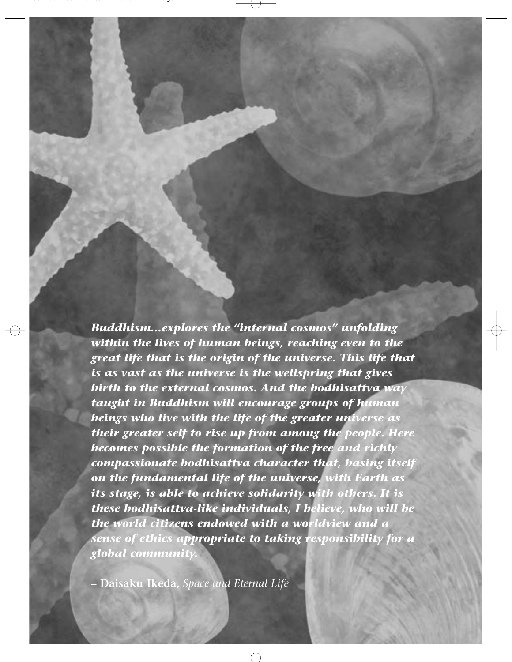*Buddhism…explores the "internal cosmos" unfolding within the lives of human beings, reaching even to the great life that is the origin of the universe. This life that is as vast as the universe is the wellspring that gives birth to the external cosmos. And the bodhisattva way taught in Buddhism will encourage groups of human beings who live with the life of the greater universe as their greater self to rise up from among the people. Here becomes possible the formation of the free and richly compassionate bodhisattva character that, basing itself on the fundamental life of the universe, with Earth as its stage, is able to achieve solidarity with others. It is these bodhisattva-like individuals, I believe, who will be the world citizens endowed with a worldview and a sense of ethics appropriate to taking responsibility for a global community.*

**– Daisaku Ikeda,** *Space and Eternal Life*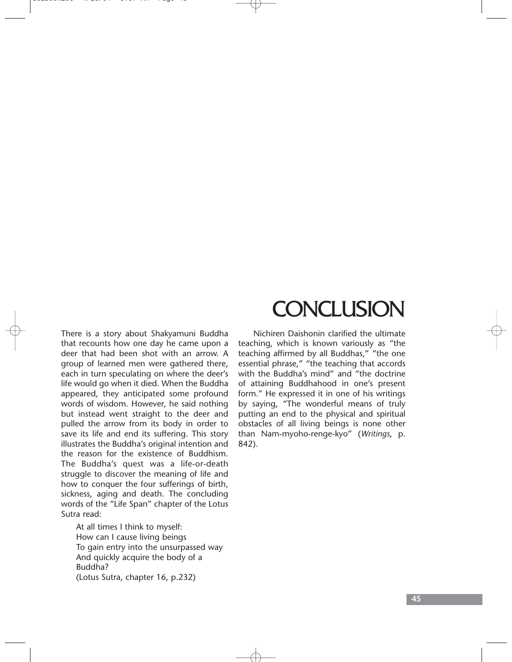There is a story about Shakyamuni Buddha that recounts how one day he came upon a deer that had been shot with an arrow. A group of learned men were gathered there, each in turn speculating on where the deer's life would go when it died. When the Buddha appeared, they anticipated some profound words of wisdom. However, he said nothing but instead went straight to the deer and pulled the arrow from its body in order to save its life and end its suffering. This story illustrates the Buddha's original intention and the reason for the existence of Buddhism. The Buddha's quest was a life-or-death struggle to discover the meaning of life and how to conquer the four sufferings of birth, sickness, aging and death. The concluding words of the "Life Span" chapter of the Lotus Sutra read:

At all times I think to myself: How can I cause living beings To gain entry into the unsurpassed way And quickly acquire the body of a Buddha? (Lotus Sutra, chapter 16, p.232)

# **CONCLUSION**

Nichiren Daishonin clarified the ultimate teaching, which is known variously as "the teaching affirmed by all Buddhas," "the one essential phrase," "the teaching that accords with the Buddha's mind" and "the doctrine of attaining Buddhahood in one's present form." He expressed it in one of his writings by saying, "The wonderful means of truly putting an end to the physical and spiritual obstacles of all living beings is none other than Nam-myoho-renge-kyo" (*Writings*, p. 842).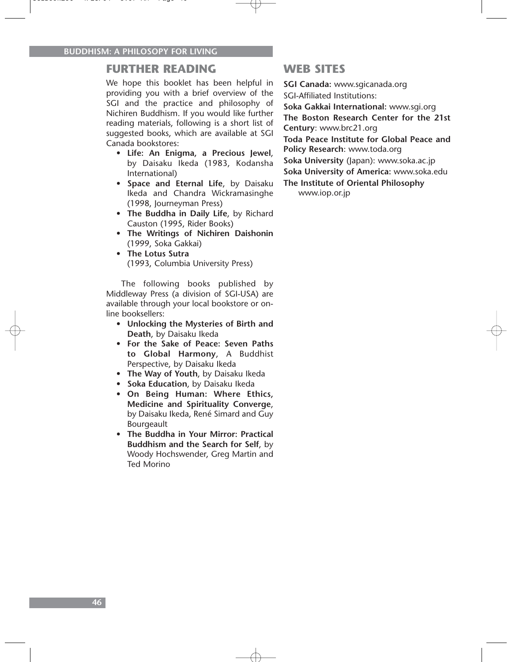### **FURTHER READING**

We hope this booklet has been helpful in providing you with a brief overview of the SGI and the practice and philosophy of Nichiren Buddhism. If you would like further reading materials, following is a short list of suggested books, which are available at SGI Canada bookstores:

- **Life: An Enigma, a Precious Jewel**, by Daisaku Ikeda (1983, Kodansha International)
- **Space and Eternal Life**, by Daisaku Ikeda and Chandra Wickramasinghe (1998, Journeyman Press)
- **The Buddha in Daily Life**, by Richard Causton (1995, Rider Books)
- **The Writings of Nichiren Daishonin** (1999, Soka Gakkai)
- **The Lotus Sutra** (1993, Columbia University Press)

The following books published by Middleway Press (a division of SGI-USA) are available through your local bookstore or online booksellers:

- **Unlocking the Mysteries of Birth and Death**, by Daisaku Ikeda
- **For the Sake of Peace: Seven Paths to Global Harmony**, A Buddhist Perspective, by Daisaku Ikeda
- **The Way of Youth**, by Daisaku Ikeda
- **Soka Education**, by Daisaku Ikeda
- **On Being Human: Where Ethics, Medicine and Spirituality Converge**, by Daisaku Ikeda, René Simard and Guy Bourgeault
- **The Buddha in Your Mirror: Practical Buddhism and the Search for Self**, by Woody Hochswender, Greg Martin and Ted Morino

### **WEB SITES**

**SGI Canada:** www.sgicanada.org SGI-Affiliated Institutions:

**Soka Gakkai International:** www.sgi.org **The Boston Research Center for the 21st Century**: www.brc21.org

**Toda Peace Institute for Global Peace and Policy Research**: www.toda.org

**Soka University** (Japan): www.soka.ac.jp

**Soka University of America:** www.soka.edu

**The Institute of Oriental Philosophy**

www.iop.or.jp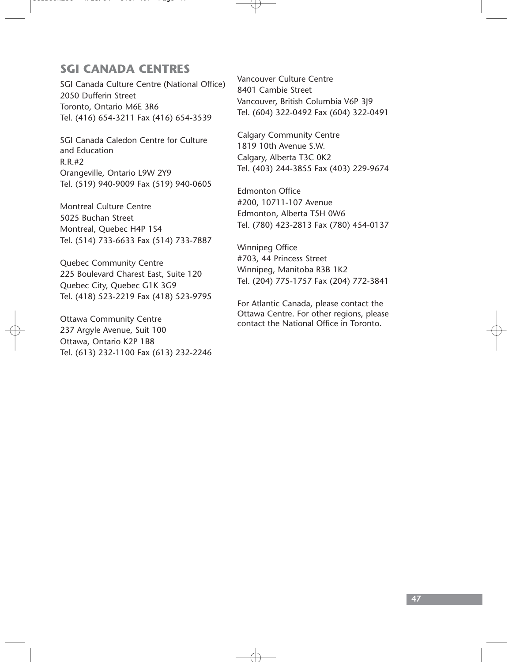### **SGI CANADA CENTRES**

SGI Canada Culture Centre (National Office) 2050 Dufferin Street Toronto, Ontario M6E 3R6 Tel. (416) 654-3211 Fax (416) 654-3539

SGI Canada Caledon Centre for Culture and Education R.R.#2 Orangeville, Ontario L9W 2Y9 Tel. (519) 940-9009 Fax (519) 940-0605

Montreal Culture Centre 5025 Buchan Street Montreal, Quebec H4P 1S4 Tel. (514) 733-6633 Fax (514) 733-7887

Quebec Community Centre 225 Boulevard Charest East, Suite 120 Quebec City, Quebec G1K 3G9 Tel. (418) 523-2219 Fax (418) 523-9795

Ottawa Community Centre 237 Argyle Avenue, Suit 100 Ottawa, Ontario K2P 1B8 Tel. (613) 232-1100 Fax (613) 232-2246 Vancouver Culture Centre 8401 Cambie Street Vancouver, British Columbia V6P 3J9 Tel. (604) 322-0492 Fax (604) 322-0491

Calgary Community Centre 1819 10th Avenue S.W. Calgary, Alberta T3C 0K2 Tel. (403) 244-3855 Fax (403) 229-9674

Edmonton Office #200, 10711-107 Avenue Edmonton, Alberta T5H 0W6 Tel. (780) 423-2813 Fax (780) 454-0137

Winnipeg Office #703, 44 Princess Street Winnipeg, Manitoba R3B 1K2 Tel. (204) 775-1757 Fax (204) 772-3841

For Atlantic Canada, please contact the Ottawa Centre. For other regions, please contact the National Office in Toronto.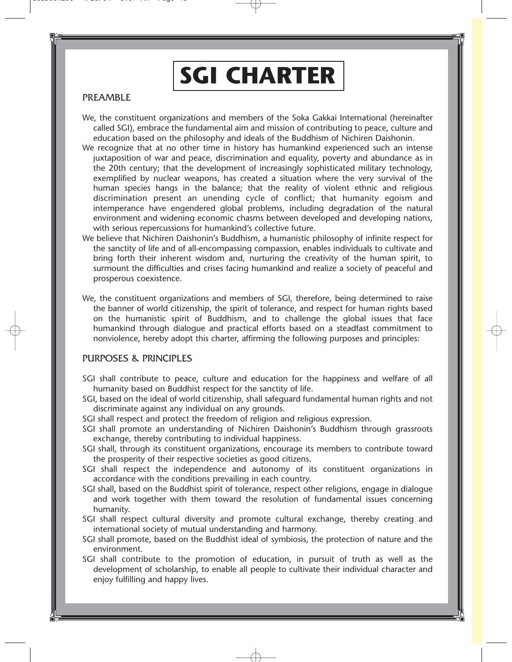# **SGI CHARTER**

### PREAMBLE

- We, the constituent organizations and members of the Soka Gakkai International (hereinafter called SGI), embrace the fundamental aim and mission of contributing to peace, culture and education based on the philosophy and ideals of the Buddhism of Nichiren Daishonin.
- We recognize that at no other time in history has humankind experienced such an intense juxtaposition of war and peace, discrimination and equality, poverty and abundance as in the 20th century; that the development of increasingly sophisticated military technology, exemplified by nuclear weapons, has created a situation where the very survival of the human species hangs in the balance; that the reality of violent ethnic and religious discrimination present an unending cycle of conflict; that humanity egoism and intemperance have engendered global problems, including degradation of the natural environment and widening economic chasms between developed and developing nations, with serious repercussions for humankind's collective future.
- We believe that Nichiren Daishonin's Buddhism, a humanistic philosophy of infinite respect for the sanctity of life and of all-encompassing compassion, enables individuals to cultivate and bring forth their inherent wisdom and, nurturing the creativity of the human spirit, to surmount the difficulties and crises facing humankind and realize a society of peaceful and prosperous coexistence.
- We, the constituent organizations and members of SGI, therefore, being determined to raise the banner of world citizenship, the spirit of tolerance, and respect for human rights based on the humanistic spirit of Buddhism, and to challenge the global issues that face humankind through dialogue and practical efforts based on a steadfast commitment to nonviolence, hereby adopt this charter, affirming the following purposes and principles:

### PURPOSES & PRINCIPLES

- SGI shall contribute to peace, culture and education for the happiness and welfare of all humanity based on Buddhist respect for the sanctity of life.
- SGI, based on the ideal of world citizenship, shall safeguard fundamental human rights and not discriminate against any individual on any grounds.
- SGI shall respect and protect the freedom of religion and religious expression.
- SGI shall promote an understanding of Nichiren Daishonin's Buddhism through grassroots exchange, thereby contributing to individual happiness.
- SGI shall, through its constituent organizations, encourage its members to contribute toward the prosperity of their respective societies as good citizens.
- SGI shall respect the independence and autonomy of its constituent organizations in accordance with the conditions prevailing in each country.
- SGI shall, based on the Buddhist spirit of tolerance, respect other religions, engage in dialogue and work together with them toward the resolution of fundamental issues concerning humanity.
- SGI shall respect cultural diversity and promote cultural exchange, thereby creating and international society of mutual understanding and harmony.
- SGI shall promote, based on the Buddhist ideal of symbiosis, the protection of nature and the environment.
- SGI shall contribute to the promotion of education, in pursuit of truth as well as the development of scholarship, to enable all people to cultivate their individual character and enjoy fulfilling and happy lives.